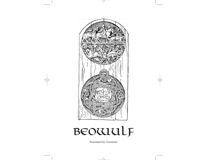

# Beouulf

Translated by Gummere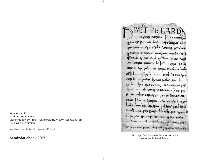Title: Beowulf Author: Anonymous Electronic text by Project Gutenberg (July, 1997 [EBook #981]) used with permission

see also The Electronic Beowulf Project

# **Samizdat ebook 2007**

na mzeru dazum. bed cynniza puym se Frumon huda cepelingal elle Fre medon. Oft fcyld feeping feetben ppearum mone gu maghum meodo forla of cent esfore copil syran quere peut peu scente punden he per quoque seba peox under polenum peops myndom bala ody him athpyle haper somb freemana opqi Intoni pade hypan soolde zombar syl dan ppar 500 cyning. dan europa par eft ces cenned 50005 in 5024 Dum pone 500 fende polce corporpe pypor dange on zeur plus equipmen alderange.  $lm$ ge hpile him beg lip freu pulsuq parlses popols are you get begun bl.ed pide finanz fe Landum in Wircein Phonish post of tur marden

> First page of the Cotton-Vitellius A.xv manuscript containing the text of Beowulf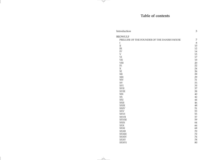# **Table of contents**

 $-\varphi$ 

 $\forall$ 

| Introduction                               | 3  |
|--------------------------------------------|----|
| <b>BEOWULF</b>                             |    |
| PRELUDE OF THE FOUNDER OF THE DANISH HOUSE | 7  |
| I                                          | 8  |
| $\mathop{\rm II}\nolimits$                 | 10 |
| $\rm III$                                  | 12 |
| IV                                         | 14 |
| $\ensuremath{\mathbf{V}}$                  | 15 |
| VI                                         | 17 |
| <b>VII</b>                                 | 19 |
| <b>VIII</b>                                | 20 |
| IX                                         | 22 |
| $\chi$                                     | 24 |
| XI                                         | 26 |
| XII                                        | 28 |
| XIII                                       | 29 |
| XIV                                        | 31 |
| XV                                         | 33 |
| XVI                                        | 35 |
| <b>XVII</b>                                | 37 |
| <b>XVIII</b>                               | 38 |
| XIX                                        | 40 |
| $\mathsf{X}\mathsf{X}$                     | 42 |
| XXI                                        | 44 |
| <b>XXII</b>                                | 46 |
| <b>XXIII</b>                               | 48 |
| <b>XXIV</b>                                | 51 |
| <b>XXV</b>                                 | 53 |
| <b>XXVI</b>                                | 55 |
| <b>XXVII</b>                               | 57 |
| <b>XXVIII</b>                              | 59 |
| <b>XXIX</b>                                | 64 |
| <b>XXX</b>                                 | 66 |
| <b>XXXI</b>                                | 68 |
| <b>XXXII</b>                               | 70 |
| <b>XXXIII</b>                              | 72 |
| <b>XXXIV</b>                               | 76 |
| <b>XXXV</b>                                | 78 |
| <b>XXXVI</b>                               | 80 |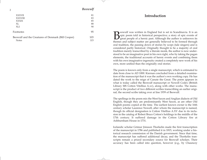| 2 |                | <b>Beowulf</b> |
|---|----------------|----------------|
|   | <b>XXXVII</b>  | 81             |
|   | <b>XXXVIII</b> | 83             |
|   | <b>XXXIX</b>   | 85             |
|   | XL             | 88             |
|   | <b>XLI</b>     | 90             |
|   |                |                |

| Footnotes                                          | 95  |
|----------------------------------------------------|-----|
| Beowulf and the Creatures of Denmark (Bill Cooper) | 103 |

| COW all and the Creatures of Definition (Diff Cooper) | ⊥∪∪ |
|-------------------------------------------------------|-----|
| Notes                                                 | 115 |

# **Introduction**

Beowulf was written in England but is set in Scandinavia. It is an epic poem told in historical perspective; a story of epic events of great people of a heroic past. Although the author is unknown its themes and subject matter are generally believed to be formed through oral tradition, the passing down of stories by scops (tale singers) and is considered partly historical. Originally thought to be a majority of oral tradition merely transcribed by a literate monk, the author is now understood to be an imaginative poet in his own right, who by taking the pagan elements, the traditional accounts of heroic events and combining them with his own imaginative ingenuity created a completely new work of his own, more unified than the originally oral stories.

The poem is known only from a single manuscript, which is estimated to date from close to AD 1000. Kiernan concluded from a detailed examination of the manuscript that it was the author's own working copy. He has dated the work to the reign of Canute the Great. The poem appears in what is today called the Beowulf manuscript or Nowell Codex (British Library MS Cotton Vitellius A.xv), along with other works. The manuscript is the product of two different scribes transcribing an earlier original, the second scribe taking over at line 1939 of Beowulf.

The spellings in the poem mix the West Saxon and Anglian dialects of Old English, though they are predominantly West Saxon, as are other Old English poems copied at the time. The earliest known owner is the 16th century scholar Laurence Nowell, after whom the manuscript is named, though its official designation is Cotton Vitellius A.XV due to its inclusion in the catalog of Robert Bruce Cotton's holdings in the middle of the 17th century. It suffered damage in the Cotton Library fire at Ashburnham House in 1731.

Icelandic scholar Grímur Jónsson Thorkelin made the first transcription of the manuscript in 1786 and published it in 1815, working under a historical research commission of the Danish government. Since that time, the manuscript has suffered additional decay, and the Thorkelin transcripts remain a prized secondary source for Beowulf scholars. Their accuracy has been called into question, however (e.g., by Chauncey

 $\forall$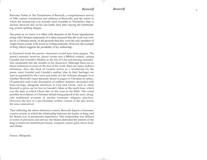$\downarrow$ 

₼

Brewster Tinker in The Translations of Beowulf, a comprehensive survey of 19th century translations and editions of Beowulf), and the extent to which the manuscript was actually more readable in Thorkelin's time is unclear. Beowulf also on his last battle died after slaying the firebreathing, poison spitting dragon.

The poem as we know it is filled with elements of the Norse legendarium along with Christian statements. It is often assumed that the work was written by a Christian monk, on the grounds that they were the only members of Anglo-Saxon society with access to writing materials. However, the example of King Alfred suggests the possibility of lay authorship.

In historical terms the poem's characters would have been pagans. The poem's narrator, however, places events into a Biblical context, casting Grendel and Grendel's Mother as the kin of Cain and placing monotheistic sentiments into the mouths of his characters. Although there are no direct references to Jesus in the text of the work, there are many indirect references. Also, the book of Genesis serves as a touchstone for the poem, since Grendel and Grendel's mother (due to their heritage) are seen as punished by the Curse and mark of Cain. Scholars disagree as to whether Beowulf's main thematic thrust is pagan or Christian in nature. Of particular note is the description of soldiers' helmets, decorated with boar-carvings, alongside references to God and Christ, such as when Beowulf is given up for lost in Grendel's Mere at the ninth hour, which was the time at which Christ dies on the cross in the Bible. This could possibly be evidence of Christian details being placed in the story alongside traditional accounts of ancient Germanic religious practices. However, the lack of a pre-Christian written version of the epic leaves the issue unresolved.

Thus reflecting the above historical context, Beowulf depicts a Germanic warrior society, in which the relationship between the leader, or king, and his thanes was of paramount importance. This relationship was defined in terms of provision and service; the thanes defended the interest of the king in return for material provisions: weapons, armor, gold, silver, food, and drinks

Source: Wikipedia

*Beowulf* <sup>4</sup>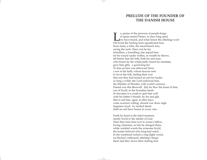# **PRELUDE OF THE FOUNDER OF THE DANISH HOUSE**

Y

 $\forall$ 

Lo, praise of the prowess of people-kings of spear-armed Danes, in days long sped, we have heard, and what honor the athelings won! Oft Scyld the Scefing from squadroned foes, from many a tribe, the mead-bench tore, awing the earls. Since erst he lay friendless, a foundling, fate repaid him: for he waxed under welkin, in wealth he throve, till before him the folk, both far and near, who house by the whale-path, heard his mandate, gave him gifts: a good king he! To him an heir was afterward born, a son in his halls, whom heaven sent to favor the folk, feeling their woe that erst they had lacked an earl for leader so long a while; the Lord endowed him, the Wielder of Wonder, with world's renown. Famed was this Beowulf: {0a} far flew the boast of him, son of Scyld, in the Scandian lands. So becomes it a youth to quit him well with his father's friends, by fee and gift, that to aid him, aged, in after days, come warriors willing, should war draw nigh, liegemen loyal: by lauded deeds shall an earl have honor in every clan.

Forth he fared at the fated moment, sturdy Scyld to the shelter of God. Then they bore him over to ocean's billow, loving clansmen, as late he charged them, while wielded words the winsome Scyld, the leader beloved who long had ruled.... In the roadstead rocked a ring-dight vessel, ice-flecked, outbound, atheling's barge: there laid they down their darling lord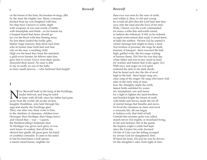on the breast of the boat, the breaker-of-rings, {0b} by the mast the mighty one. Many a treasure fetched from far was freighted with him. No ship have I known so nobly dight with weapons of war and weeds of battle, with breastplate and blade: on his bosom lay a heaped hoard that hence should go far o'er the flood with him floating away. No less these loaded the lordly gifts, thanes' huge treasure, than those had done who in former time forth had sent him sole on the seas, a suckling child. High o'er his head they hoist the standard, a gold-wove banner; let billows take him, gave him to ocean. Grave were their spirits, mournful their mood. No man is able to say in sooth, no son of the halls, no hero 'neath heaven, -- who harbored that freight!

# **I**

Now Beowulf bode in the burg of the Scyldings, leader beloved, and long he ruled in fame with all folk, since his father had gone away from the world, till awoke an heir, haughty Healfdene, who held through life, sage and sturdy, the Scyldings glad. Then, one after one, there woke to him, to the chieftain of clansmen, children four: Heorogar, then Hrothgar, then Halga brave; and I heard that -- was -- 's queen, the Heathoscylfing's helpmate dear. To Hrothgar was given such glory of war, such honor of combat, that all his kin obeyed him gladly till great grew his band of youthful comrades. It came in his mind to bid his henchmen a hall uprear, a master mead-house, mightier far

#### **Beowulf** 9

 $\forall$ 

than ever was seen by the sons of earth, and within it, then, to old and young he would all allot that the Lord had sent him, save only the land and the lives of his men. Wide, I heard, was the work commanded, for many a tribe this mid-earth round, to fashion the folkstead. It fell, as he ordered, in rapid achievement that ready it stood there, of halls the noblest: Heorot {1a} he named it whose message had might in many a land. Not reckless of promise, the rings he dealt, treasure at banquet: there towered the hall, high, gabled wide, the hot surge waiting of furious flame. {1b} Nor far was that day when father and son-in-law stood in feud for warfare and hatred that woke again. {1c} With envy and anger an evil spirit endured the dole in his dark abode, that he heard each day the din of revel high in the hall: there harps rang out, clear song of the singer. He sang who knew {1d} tales of the early time of man, how the Almighty made the earth, fairest fields enfolded by water, set, triumphant, sun and moon for a light to lighten the land-dwellers, and braided bright the breast of earth with limbs and leaves, made life for all of mortal beings that breathe and move. So lived the clansmen in cheer and revel a winsome life, till one began to fashion evils, that field of hell. Grendel this monster grim was called, march-riever {1e} mighty, in moorland living, in fen and fastness; fief of the giants the hapless wight a while had kept since the Creator his exile doomed. On kin of Cain was the killing avenged by sovran God for slaughtered Abel. Ill fared his feud, {1f} and far was he driven, for the slaughter's sake, from sight of men.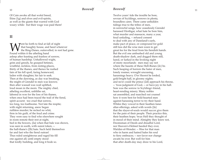Of Cain awoke all that woful breed, Etins {1g} and elves and evil-spirits, as well as the giants that warred with God weary while: but their wage was paid them!

# **II**

Tent he forth to find at fall of night<br>that haughty house, and heed wherever<br>the Ring-Danes, outrevelled, to rest had gone. Found within it the atheling band asleep after feasting and fearless of sorrow, of human hardship. Unhallowed wight, grim and greedy, he grasped betimes, wrathful, reckless, from resting-places, thirty of the thanes, and thence he rushed fain of his fell spoil, faring homeward, laden with slaughter, his lair to seek. Then at the dawning, as day was breaking, the might of Grendel to men was known; then after wassail was wail uplifted, loud moan in the morn. The mighty chief, atheling excellent, unblithe sat, labored in woe for the loss of his thanes, when once had been traced the trail of the fiend, spirit accurst: too cruel that sorrow, too long, too loathsome. Not late the respite; with night returning, anew began ruthless murder; he recked no whit, firm in his guilt, of the feud and crime. They were easy to find who elsewhere sought in room remote their rest at night, bed in the bowers, {2a} when that bale was shown, was seen in sooth, with surest token, - the hall-thane's {2b} hate. Such held themselves far and fast who the fiend outran! Thus ruled unrighteous and raged his fill one against all; until empty stood that lordly building, and long it bode so.

#### **Beowulf** 11

₼

Twelve years' tide the trouble he bore, sovran of Scyldings, sorrows in plenty, boundless cares. There came unhidden tidings true to the tribes of men, in sorrowful songs, how ceaselessly Grendel harassed Hrothgar, what hate he bore him, what murder and massacre, many a year, feud unfading, -- refused consent to deal with any of Daneland's earls, make pact of peace, or compound for gold: still less did the wise men ween to get great fee for the feud from his fiendish hands. But the evil one ambushed old and young death-shadow dark, and dogged them still, lured, or lurked in the livelong night of misty moorlands: men may say not where the haunts of these Hell-Runes {2c} be. Such heaping of horrors the hater of men, lonely roamer, wrought unceasing, harassings heavy. O'er Heorot he lorded, gold-bright hall, in gloomy nights; and ne'er could the prince {2d} approach his throne, -- 'twas judgment of God, -- or have joy in his hall. Sore was the sorrow to Scyldings'-friend, heart-rending misery. Many nobles sat assembled, and searched out counsel how it were best for bold-hearted men against harassing terror to try their hand. Whiles they vowed in their heathen fanes altar-offerings, asked with words {2e} that the slayer-of-souls would succor give them for the pain of their people. Their practice this, their heathen hope; 'twas Hell they thought of in mood of their mind. Almighty they knew not, Doomsman of Deeds and dreadful Lord, nor Heaven's-Helmet heeded they ever, Wielder-of-Wonder. -- Woe for that man who in harm and hatred hales his soul to fiery embraces; -- nor favor nor change awaits he ever. But well for him that after death-day may draw to his Lord,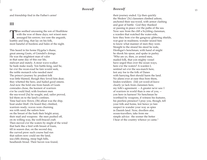and friendship find in the Father's arms!

# **III**

Thus seethed unceasing the son of Healfdene<br>with the woe of these days; not wisest men<br>assuaged his sorrow; too sore the anguish, loathly and long, that lay on his folk, most baneful of burdens and bales of the night.

This heard in his home Hygelac's thane, great among Geats, of Grendel's doings. He was the mightiest man of valor in that same day of this our life, stalwart and stately. A stout wave-walker he bade make ready. Yon battle-king, said he, far o'er the swan-road he fain would seek, the noble monarch who needed men! The prince's journey by prudent folk was little blamed, though they loved him dear; they whetted the hero, and hailed good omens. And now the bold one from bands of Geats comrades chose, the keenest of warriors <sup>e</sup>'er he could find; with fourteen men the sea-wood {3a} he sought, and, sailor proved, led them on to the land's confines. Time had now flown; {3b} afloat was the ship, boat under bluff. On board they climbed, warriors ready; waves were churning sea with sand; the sailors bore on the breast of the bark their bright array, their mail and weapons: the men pushed off, on its willing way, the well-braced craft. Then moved o'er the waters by might of the wind that bark like a bird with breast of foam, till in season due, on the second day, the curved prow such course had run that sailors now could see the land, sea-cliffs shining, steep high hills, headlands broad. Their haven was found,

#### **Beowulf** 13

 $\forall$ 

their journey ended. Up then quickly the Weders' {3c} clansmen climbed ashore, anchored their sea-wood, with armor clashing and gear of battle: God they thanked or passing in peace o'er the paths of the sea. Now saw from the cliff a Scylding clansman, a warden that watched the water-side, how they bore o'er the gangway glittering shields, war-gear in readiness; wonder seized him to know what manner of men they were. Straight to the strand his steed he rode, Hrothgar's henchman; with hand of might he shook his spear, and spake in parley. "Who are ye, then, ye armed men, mailed folk, that yon mighty vessel have urged thus over the ocean ways, here o'er the waters? A warden I, sentinel set o'er the sea-march here, lest any foe to the folk of Danes with harrying fleet should harm the land. No aliens ever at ease thus bore them, linden-wielders: {3d} yet word-of-leave clearly ye lack from clansmen here, my folk's agreement. -- A greater ne'er saw I of warriors in world than is one of you, - yon hero in harness! No henchman he worthied by weapons, if witness his features, his peerless presence! I pray you, though, tell your folk and home, lest hence ye fare suspect to wander your way as spies in Danish land. Now, dwellers afar, ocean-travellers, take from me simple advice: the sooner the better I hear of the country whence ye came."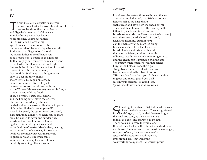# **IV**

To him the stateliest spake in answer;<br>the warriors' leader his word-hoard unlocked: --<br>"We are by kin of the clan of Geats, and Hygelac's own hearth-fellows we. To folk afar was my father known, noble atheling, Ecgtheow named. Full of winters, he fared away aged from earth; he is honored still through width of the world by wise men all. To thy lord and liege in loyal mood we hasten hither, to Healfdene's son, people-protector: be pleased to advise us! To that mighty-one come we on mickle errand, to the lord of the Danes; nor deem I right that aught be hidden. We hear -- thou knowest if sooth it is -- the saying of men, that amid the Scyldings a scathing monster, dark ill-doer, in dusky nights shows terrific his rage unmatched, hatred and murder. To Hrothgar I in greatness of soul would succor bring, so the Wise-and-Brave {4a} may worst his foes, - if ever the end of ills is fated, of cruel contest, if cure shall follow, and the boiling care-waves cooler grow; else ever afterward anguish-days he shall suffer in sorrow while stands in place high on its hill that house unpeered!" Astride his steed, the strand-ward answered, clansman unquailing: "The keen-souled thane must be skilled to sever and sunder duly words and works, if he well intends. I gather, this band is graciously bent to the Scyldings' master. March, then, bearing weapons and weeds the way I show you. I will bid my men your boat meanwhile to guard for fear lest foemen come, - your new-tarred ship by shore of ocean faithfully watching till once again

#### **Beowulf** 15

it waft o'er the waters those well-loved thanes, -- winding-neck'd wood, -- to Weders' bounds, heroes such as the hest of fate shall succor and save from the shock of war." They bent them to march, -- the boat lay still, fettered by cable and fast at anchor, broad-bosomed ship. -- Then shone the boars {4b} over the cheek-guard; chased with gold, keen and gleaming, guard it kept <sup>o</sup>'er the man of war, as marched along heroes in haste, till the hall they saw, broad of gable and bright with gold: that was the fairest, 'mid folk of earth, of houses 'neath heaven, where Hrothgar lived, and the gleam of it lightened o'er lands afar. The sturdy shieldsman showed that bright burg-of-the-boldest; bade them go straightway thither; his steed then turned, hardy hero, and hailed them thus: -- "'Tis time that I fare from you. Father Almighty in grace and mercy guard you well, safe in your seekings. Seaward I go, 'gainst hostile warriors hold my watch."

### **V**

 $\forall$ 

Stone-bright the street: {5a} it showed the way to the crowd of clansmen. Corselets glistened hand-forged, hard; on their harness bright the steel ring sang, as they strode along in mail of battle, and marched to the hall. There, weary of ocean, the wall along they set their bucklers, their broad shields, down, and bowed them to bench: the breastplates clanged, war-gear of men; their weapons stacked, spears of the seafarers stood together, gray-tipped ash: that iron band was worthily weaponed! -- A warrior proud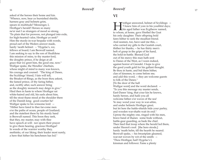asked of the heroes their home and kin. "Whence, now, bear ye burnished shields,

ne'er met I as strangers of mood so strong.

for high-hearted valor, Hrothgar ye seek!" Him the sturdy-in-war bespake with words, proud earl of the Weders answer made, hardy 'neath helmet: -- "Hygelac's, we, fellows at board; I am Beowulf named. I am seeking to say to the son of Healfdene this mission of mine, to thy master-lord, the doughty prince, if he deign at all

grace that we greet him, the good one, now." Wulfgar spake, the Wendles' chieftain, whose might of mind to many was known, his courage and counsel: "The king of Danes,

the Breaker-of-Rings, as the boon thou askest,

as the doughty monarch may deign to give." Hied then in haste to where Hrothgar sat white-haired and old, his earls about him, till the stout thane stood at the shoulder there

have speech at will: nor spurn their prayer to give them hearing, gracious Hrothgar! In weeds of the warrior worthy they,

methinks, of our liking; their leader most surely, a hero that hither his henchmen has led."

the Scyldings' friend, I fain will tell,

the famed prince, of thy faring hither, and, swiftly after, such answer bring

of the Danish king: good courtier he! Wulfgar spake to his winsome lord: -- "Hither have fared to thee far-come men <sup>o</sup>'er the paths of ocean, people of Geatland; and the stateliest there by his sturdy band is Beowulf named. This boon they seek, that they, my master, may with thee

'Tis plain that for prowess, not plunged into exile,

harness gray and helmets grim, spears in multitude? Messenger, I, Hrothgar's herald! Heroes so many

#### *Beowulf* <sup>16</sup>

**Beowulf** 17

# **VI**

₼

Hrothgar answered, helmet of Scyldings: -- "I knew him of yore in his youthful days; his aged father was Ecgtheow named, to whom, at home, gave Hrethel the Geat his only daughter. Their offspring bold fares hither to seek the steadfast friend. And seamen, too, have said me this, - who carried my gifts to the Geatish court, thither for thanks, -- he has thirty men's heft of grasp in the gripe of his hand, the bold-in-battle. Blessed God out of his mercy this man hath sent to Danes of the West, as I ween indeed, against horror of Grendel. I hope to give the good youth gold for his gallant thought. Be thou in haste, and bid them hither, clan of kinsmen, to come before me; and add this word, -- they are welcome guests to folk of the Danes." [To the door of the hall Wulfgar went] and the word declared: -- "To you this message my master sends, East-Danes' king, that your kin he knows, hardy heroes, and hails you all welcome hither o'er waves of the sea! Ye may wend your way in war-attire, and under helmets Hrothgar greet; but let here the battle-shields bide your parley, and wooden war-shafts wait its end." Uprose the mighty one, ringed with his men, brave band of thanes: some bode without, battle-gear guarding, as bade the chief. Then hied that troop where the herald led them, under Heorot's roof: [the hero strode,] hardy 'neath helm, till the hearth he neared. Beowulf spake, -- his breastplate gleamed, war-net woven by wit of the smith: -- "Thou Hrothgar, hail! Hygelac's I, kinsman and follower. Fame a plenty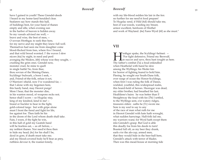have I gained in youth! These Grendel-deeds I heard in my home-land heralded clear. Seafarers say how stands this hall, of buildings best, for your band of thanes empty and idle, when evening sun in the harbor of heaven is hidden away. So my vassals advised me well, - brave and wise, the best of men, -- O sovran Hrothgar, to seek thee here, for my nerve and my might they knew full well. Themselves had seen me from slaughter come blood-flecked from foes, where five I bound, and that wild brood worsted. I' the waves I slew nicors {6a} by night, in need and peril avenging the Weders, {6b} whose woe they sought, - crushing the grim ones. Grendel now, monster cruel, be mine to quell in single battle! So, from thee, thou sovran of the Shining-Danes, Scyldings'-bulwark, a boon I seek, - and, Friend-of-the-folk, refuse it not, O Warriors'-shield, now I've wandered far, - that I alone with my liegemen here, this hardy band, may Heorot purge! More I hear, that the monster dire, in his wanton mood, of weapons recks not; hence shall I scorn -- so Hygelac stay, king of my kindred, kind to me! - brand or buckler to bear in the fight, gold-colored targe: but with gripe alone must I front the fiend and fight for life, foe against foe. Then faith be his in the doom of the Lord whom death shall take. Fain, I ween, if the fight he win, in this hall of gold my Geatish band will he fearless eat, -- as oft before, - my noblest thanes. Nor need'st thou then to hide my head; {6c} for his shall I be, dyed in gore, if death must take me; and my blood-covered body he'll bear as prey, ruthless devour it, the roamer-lonely,

#### **Beowulf** 19

with my life-blood redden his lair in the fen: no further for me need'st food prepare! To Hygelac send, if Hild {6d} should take me, best of war-weeds, warding my breast, armor excellent, heirloom of Hrethel and work of Wayland. {6e} Fares Wyrd {6f} as she must."

# **VII**

 $\forall$ 

**Herother Scyldings'-helmet:** --<br>"For fight defensive, Friend my Beowulf,<br>to succor and save, thou hast sought us here. Thy father's combat {7a} a feud enkindled when Heatholaf with hand he slew among the Wylfings; his Weder kin for horror of fighting feared to hold him. Fleeing, he sought our South-Dane folk, over surge of ocean the Honor-Scyldings, when first I was ruling the folk of Danes, wielded, youthful, this widespread realm, this hoard-hold of heroes. Heorogar was dead, my elder brother, had breathed his last, Healfdene's bairn: he was better than I! Straightway the feud with fee {7b} I settled, to the Wylfings sent, o'er watery ridges, treasures olden: oaths he {7c} swore me. Sore is my soul to say to any of the race of man what ruth for me in Heorot Grendel with hate hath wrought, what sudden harryings. Hall-folk fail me, my warriors wane; for Wyrd hath swept them into Grendel's grasp. But God is able this deadly foe from his deeds to turn! Boasted full oft, as my beer they drank, earls o'er the ale-cup, armed men, that they would bide in the beer-hall here, Grendel's attack with terror of blades. Then was this mead-house at morning tide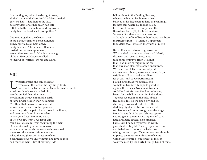dyed with gore, when the daylight broke, all the boards of the benches blood-besprinkled, gory the hall: I had heroes the less, doughty dear-ones that death had reft. -- But sit to the banquet, unbind thy words, hardy hero, as heart shall prompt thee."

Gathered together, the Geatish men in the banquet-hall on bench assigned, sturdy-spirited, sat them down, hardy-hearted. A henchman attended, carried the carven cup in hand, served the clear mead. Oft minstrels sang blithe in Heorot. Heroes revelled, no dearth of warriors, Weder and Dane.

## **VIII**

The spake, the son of Ecglaf,<br>who sat at the feet of the Scyldings' lord,<br>unbound the battle-runes. {8a} -- Beowulf's quest, sturdy seafarer's, sorely galled him; ever he envied that other men should more achieve in middle-earth of fame under heaven than he himself. -- "Art thou that Beowulf, Breca's rival, who emulous swam on the open sea, when for pride the pair of you proved the floods, and wantonly dared in waters deep to risk your lives? No living man, or lief or loath, from your labor dire could you dissuade, from swimming the main. Ocean-tides with your arms ye covered, with strenuous hands the sea-streets measured, swam o'er the waters. Winter's storm rolled the rough waves. In realm of sea a sennight strove ye. In swimming he topped thee, had more of main! Him at morning-tide

#### **Beowulf** 21

 $\forall$ 

billows bore to the Battling Reamas, whence he hied to his home so dear beloved of his liegemen, to land of Brondings, fastness fair, where his folk he ruled, town and treasure. In triumph o'er thee Beanstan's bairn {8b} his boast achieved. So ween I for thee a worse adventure -- though in buffet of battle thou brave hast been, in struggle grim, -- if Grendel's approach thou darst await through the watch of night!"

Beowulf spake, bairn of Ecgtheow: -- "What a deal hast uttered, dear my Unferth, drunken with beer, of Breca now, told of his triumph! Truth I claim it, that I had more of might in the sea than any man else, more ocean-endurance. We twain had talked, in time of youth, and made our boast, -- we were merely boys, striplings still, -- to stake our lives far at sea: and so we performed it. Naked swords, as we swam along, we held in hand, with hope to guard us against the whales. Not a whit from me could he float afar o'er the flood of waves, haste o'er the billows; nor him I abandoned. Together we twain on the tides abode five nights full till the flood divided us, churning waves and chillest weather, darkling night, and the northern wind ruthless rushed on us: rough was the surge. Now the wrath of the sea-fish rose apace; yet me 'gainst the monsters my mailed coat, hard and hand-linked, help afforded, - battle-sark braided my breast to ward, garnished with gold. There grasped me firm and haled me to bottom the hated foe, with grimmest gripe. 'Twas granted me, though, to pierce the monster with point of sword, with blade of battle: huge beast of the sea was whelmed by the hurly through hand of mine.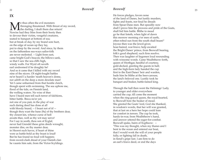**IX**

The thus often the evil monsters<br>thronging threatened. With thrust of my sword,<br>the darling, I dealt them due return! Nowise had they bliss from their booty then to devour their victim, vengeful creatures, seated to banquet at bottom of sea; but at break of day, by my brand sore hurt, on the edge of ocean up they lay, put to sleep by the sword. And since, by them on the fathomless sea-ways sailor-folk are never molested. -- Light from east, came bright God's beacon; the billows sank, so that I saw the sea-cliffs high, windy walls. For Wyrd oft saveth earl undoomed if he doughty be! And so it came that I killed with my sword nine of the nicors. Of night-fought battles ne'er heard I a harder 'neath heaven's dome, nor adrift on the deep a more desolate man! Yet I came unharmed from that hostile clutch, though spent with swimming. The sea upbore me, flood of the tide, on Finnish land, the welling waters. No wise of thee have I heard men tell such terror of falchions, bitter battle. Breca ne'er yet, not one of you pair, in the play of war such daring deed has done at all with bloody brand, -- I boast not of it! - though thou wast the bane {9a} of thy brethren dear, thy closest kin, whence curse of hell awaits thee, well as thy wit may serve! For I say in sooth, thou son of Ecglaf, never had Grendel these grim deeds wrought, monster dire, on thy master dear, in Heorot such havoc, if heart of thine were as battle-bold as thy boast is loud! But he has found no feud will happen; from sword-clash dread of your Danish clan he vaunts him safe, from the Victor-Scyldings.

#### **Beowulf** 23

 $\forall$ 

He forces pledges, favors none of the land of Danes, but lustily murders, fights and feasts, nor feud he dreads from Spear-Dane men. But speedily now shall I prove him the prowess and pride of the Geats, shall bid him battle. Blithe to mead go he that listeth, when light of dawn this morrow morning o'er men of earth, ether-robed sun from the south shall beam!" Joyous then was the Jewel-giver, hoar-haired, war-brave; help awaited the Bright-Danes' prince, from Beowulf hearing, folk's good shepherd, such firm resolve. Then was laughter of liegemen loud resounding with winsome words. Came Wealhtheow forth, queen of Hrothgar, heedful of courtesy, gold-decked, greeting the guests in hall; and the high-born lady handed the cup first to the East-Danes' heir and warden, bade him be blithe at the beer-carouse, the land's beloved one. Lustily took he banquet and beaker, battle-famed king.

Through the hall then went the Helmings' Lady, to younger and older everywhere carried the cup, till come the moment when the ring-graced queen, the royal-hearted, to Beowulf bore the beaker of mead. She greeted the Geats' lord, God she thanked, in wisdom's words, that her will was granted, that at last on a hero her hope could lean for comfort in terrors. The cup he took, hardy-in-war, from Wealhtheow's hand, and answer uttered the eager-for-combat. Beowulf spake, bairn of Ecgtheow: -- "This was my thought, when my thanes and I bent to the ocean and entered our boat, that I would work the will of your people fully, or fighting fall in death, in fiend's gripe fast. I am firm to do an earl's brave deed, or end the days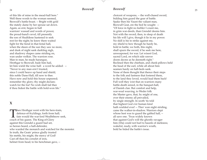of this life of mine in the mead-hall here." Well these words to the woman seemed, Beowulf's battle-boast. -- Bright with gold the stately dame by her spouse sat down. Again, as erst, began in hall warriors' wassail and words of power, the proud-band's revel, till presently the son of Healfdene hastened to seek rest for the night; he knew there waited fight for the fiend in that festal hall, when the sheen of the sun they saw no more, and dusk of night sank darkling nigh, and shadowy shapes came striding on, wan under welkin. The warriors rose. Man to man, he made harangue, Hrothgar to Beowulf, bade him hail, let him wield the wine hall: a word he added: -- "Never to any man erst I trusted, since I could heave up hand and shield, this noble Dane-Hall, till now to thee. Have now and hold this house unpeered; remember thy glory; thy might declare; watch for the foe! No wish shall fail thee if thou bidest the battle with bold-won life."

# **X**

Then Hrothgar went with his hero-train,<br>defence-of-Scyldings, forth from hall;<br>fain would the war-lord Wealhtheow seek, couch of his queen. The King-of-Glory against this Grendel a guard had set, so heroes heard, a hall-defender, who warded the monarch and watched for the monster. In truth, the Geats' prince gladly trusted his mettle, his might, the mercy of God! Cast off then his corselet of iron, helmet from head; to his henchman gave, --

#### **Beowulf** 25

 $\forall$ 

choicest of weapons, -- the well-chased sword, bidding him guard the gear of battle. Spake then his Vaunt the valiant man, Beowulf Geat, ere the bed be sought: -- "Of force in fight no feebler I count me, in grim war-deeds, than Grendel deems him. Not with the sword, then, to sleep of death his life will I give, though it lie in my power. No skill is his to strike against me, my shield to hew though he hardy be, bold in battle; we both, this night, shall spurn the sword, if he seek me here, unweaponed, for war. Let wisest God, sacred Lord, on which side soever doom decree as he deemeth right." Reclined then the chieftain, and cheek-pillows held the head of the earl, while all about him seamen hardy on hall-beds sank. None of them thought that thence their steps to the folk and fastness that fostered them, to the land they loved, would lead them back! Full well they wist that on warriors many battle-death seized, in the banquet-hall, of Danish clan. But comfort and help, war-weal weaving, to Weder folk the Master gave, that, by might of one, over their enemy all prevailed, by single strength. In sooth 'tis told that highest God o'er human kind hath wielded ever! -- Thro' wan night striding, came the walker-in-shadow. Warriors slept whose hest was to guard the gabled hall, -all save one. 'Twas widely known that against God's will the ghostly ravager him {10a} could not hurl to haunts of darkness; wakeful, ready, with warrior's wrath, bold he bided the battle's issue.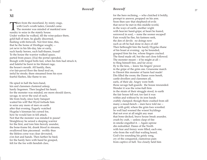$\forall$ 

# **XI**

Then from the moorland, by misty crags, with God's wrath laden, Grendel came.<br>The monster was minded of mankind now sundry to seize in the stately house. Under welkin he walked, till the wine-palace there, gold-hall of men, he gladly discerned, flashing with fretwork. Not first time, this, that he the home of Hrothgar sought, - yet ne'er in his life-day, late or early, such hardy heroes, such hall-thanes, found! To the house the warrior walked apace, parted from peace; {11a} the portal opended, though with forged bolts fast, when his fists had struck it, and baleful he burst in his blatant rage, the house's mouth. All hastily, then, <sup>o</sup>'er fair-paved floor the fiend trod on, ireful he strode; there streamed from his eyes fearful flashes, like flame to see.

He spied in hall the hero-band, kin and clansmen clustered asleep, hardy liegemen. Then laughed his heart; for the monster was minded, ere morn should dawn, savage, to sever the soul of each, life from body, since lusty banquet waited his will! But Wyrd forbade him to seize any more of men on earth after that evening. Eagerly watched Hygelac's kinsman his cursed foe, how he would fare in fell attack. Not that the monster was minded to pause! Straightway he seized a sleeping warrior for the first, and tore him fiercely asunder, the bone-frame bit, drank blood in streams, swallowed him piecemeal: swiftly thus the lifeless corse was clear devoured, <sup>e</sup>'en feet and hands. Then farther he hied; for the hardy hero with hand he grasped, felt for the foe with fiendish claw,

#### **Beowulf** 27

for the hero reclining, -- who clutched it boldly, prompt to answer, propped on his arm. Soon then saw that shepherd-of-evils that never he met in this middle-world, in the ways of earth, another wight with heavier hand-gripe; at heart he feared, sorrowed in soul, -- none the sooner escaped! Fain would he flee, his fastness seek, the den of devils: no doings now such as oft he had done in days of old! Then bethought him the hardy Hygelac-thane of his boast at evening: up he bounded, grasped firm his foe, whose fingers cracked. The fiend made off, but the earl close followed. The monster meant -- if he might at all - to fling himself free, and far away fly to the fens, -- knew his fingers' power in the gripe of the grim one. Gruesome march to Heorot this monster of harm had made! Din filled the room; the Danes were bereft, castle-dwellers and clansmen all, earls, of their ale. Angry were both those savage hall-guards: the house resounded. Wonder it was the wine-hall firm in the strain of their struggle stood, to earth the fair house fell not; too fast it was within and without by its iron bands craftily clamped; though there crashed from sill many a mead-bench -- men have told me - gay with gold, where the grim foes wrestled. So well had weened the wisest Scyldings that not ever at all might any man that bone-decked, brave house break asunder, crush by craft, -- unless clasp of fire in smoke engulfed it. -- Again uprose din redoubled. Danes of the North with fear and frenzy were filled, each one, who from the wall that wailing heard, God's foe sounding his grisly song, cry of the conquered, clamorous pain from captive of hell. Too closely held him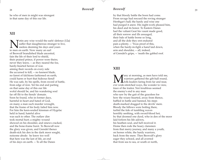he who of men in might was strongest in that same day of this our life.

# **XII**

Totin any wise would the earls'-defence {12a} suffer that slaughterous stranger to live, useless deeming his days and years to men on earth. Now many an earl of Beowulf brandished blade ancestral, fain the life of their lord to shield, their praised prince, if power were theirs; never they knew, -- as they neared the foe, hardy-hearted heroes of war, aiming their swords on every side the accursed to kill, -- no keenest blade, no farest of falchions fashioned on earth, could harm or hurt that hideous fiend! He was safe, by his spells, from sword of battle, from edge of iron. Yet his end and parting on that same day of this our life woful should be, and his wandering soul far off flit to the fiends' domain. Soon he found, who in former days, harmful in heart and hated of God, on many a man such murder wrought, that the frame of his body failed him now. For him the keen-souled kinsman of Hygelac held in hand; hateful alive was each to other. The outlaw dire took mortal hurt; a mighty wound showed on his shoulder, and sinews cracked, and the bone-frame burst. To Beowulf now the glory was given, and Grendel thence death-sick his den in the dark moor sought, noisome abode: he knew too well that here was the last of life, an end of his days on earth. -- To all the Danes

#### **Beowulf** 29

by that bloody battle the boon had come. From ravage had rescued the roving stranger Hrothgar's hall; the hardy and wise one had purged it anew. His night-work pleased him, his deed and its honor. To Eastern Danes had the valiant Geat his vaunt made good, all their sorrow and ills assuaged, their bale of battle borne so long, and all the dole they erst endured pain a-plenty. -- 'Twas proof of this, when the hardy-in-fight a hand laid down, arm and shoulder, -- all, indeed, of Grendel's gripe, -- 'neath the gabled roof.

## **XIII**

 $\forall$ 

Many at morning, as men have told me, warriors gathered the gift-hall round, folk-leaders faring from far and near, <sup>o</sup>'er wide-stretched ways, the wonder to view, trace of the traitor. Not troublous seemed the enemy's end to any man who saw by the gait of the graceless foe how the weary-hearted, away from thence, baffled in battle and banned, his steps death-marked dragged to the devils' mere. Bloody the billows were boiling there, turbid the tide of tumbling waves horribly seething, with sword-blood hot, by that doomed one dyed, who in den of the moor laid forlorn his life adown, his heathen soul, and hell received it. Home then rode the hoary clansmen from that merry journey, and many a youth, on horses white, the hardy warriors, back from the mere. Then Beowulf's glory eager they echoed, and all averred that from sea to sea, or south or north,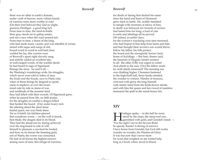there was no other in earth's domain, under vault of heaven, more valiant found, of warriors none more worthy to rule! (On their lord beloved they laid no slight, gracious Hrothgar: a good king he!) From time to time, the tried-in-battle their gray steeds set to gallop amain, and ran a race when the road seemed fair. From time to time, a thane of the king, who had made many vaunts, and was mindful of verses, stored with sagas and songs of old, bound word to word in well-knit rime, welded his lay; this warrior soon of Beowulf's quest right cleverly sang, and artfully added an excellent tale, in well-ranged words, of the warlike deeds he had heard in saga of Sigemund. Strange the story: he said it all, - the Waelsing's wanderings wide, his struggles, which never were told to tribes of men, the feuds and the frauds, save to Fitela only, when of these doings he deigned to speak, uncle to nephew; as ever the twain stood side by side in stress of war, and multitude of the monster kind they had felled with their swords. Of Sigemund grew, when he passed from life, no little praise; for the doughty-in-combat a dragon killed that herded the hoard: {13a} under hoary rock the atheling dared the deed alone fearful quest, nor was Fitela there. Yet so it befell, his falchion pierced that wondrous worm, -- on the wall it struck, best blade; the dragon died in its blood. Thus had the dread-one by daring achieved over the ring-hoard to rule at will, himself to pleasure; a sea-boat he loaded, and bore on its bosom the beaming gold, son of Waels; the worm was consumed. He had of all heroes the highest renown among races of men, this refuge-of-warriors,

#### **Beowulf** 31

for deeds of daring that decked his name since the hand and heart of Heremod grew slack in battle. He, swiftly banished to mingle with monsters at mercy of foes, to death was betrayed; for torrents of sorrow had lamed him too long; a load of care to earls and athelings all he proved. Oft indeed, in earlier days, for the warrior's wayfaring wise men mourned, who had hoped of him help from harm and bale, and had thought their sovran's son would thrive, follow his father, his folk protect, the hoard and the stronghold, heroes' land, home of Scyldings. -- But here, thanes said, the kinsman of Hygelac kinder seemed to all: the other {13b} was urged to crime! And afresh to the race, {13c} the fallow roads by swift steeds measured! The morning sun was climbing higher. Clansmen hastened to the high-built hall, those hardy-minded, the wonder to witness. Warden of treasure, crowned with glory, the king himself, with stately band from the bride-bower strode; and with him the queen and her crowd of maidens measured the path to the mead-house fair.

#### **XIV**

 $\forall$ 

**Herothear spake, -- to the hall he went,** stood by the steps, the steep roof saw, garnished with gold, and Grendel's hand: --"For the sight I see to the Sovran Ruler be speedy thanks! A throng of sorrows I have borne from Grendel; but God still works wonder on wonder, the Warden-of-Glory. It was but now that I never more for woes that weighed on me waited help long as I lived, when, laved in blood,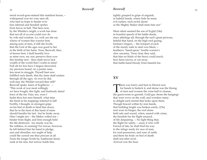stood sword-gore-stained this stateliest house, - widespread woe for wise men all, who had no hope to hinder ever foes infernal and fiendish sprites from havoc in hall. This hero now, by the Wielder's might, a work has done that not all of us erst could ever do by wile and wisdom. Lo, well can she say whoso of women this warrior bore among sons of men, if still she liveth, that the God of the ages was good to her in the birth of her bairn. Now, Beowulf, thee, of heroes best, I shall heartily love as mine own, my son; preserve thou ever this kinship new: thou shalt never lack wealth of the world that I wield as mine! Full oft for less have I largess showered, my precious hoard, on a punier man, less stout in struggle. Thyself hast now fulfilled such deeds, that thy fame shall endure through all the ages. As ever he did, well may the Wielder reward thee still!" Beowulf spake, bairn of Ecgtheow: -- "This work of war most willingly we have fought, this fight, and fearlessly dared force of the foe. Fain, too, were I hadst thou but seen himself, what time the fiend in his trappings tottered to fall! Swiftly, I thought, in strongest gripe on his bed of death to bind him down, that he in the hent of this hand of mine should breathe his last: but he broke away. Him I might not -- the Maker willed not -hinder from flight, and firm enough hold the life-destroyer: too sturdy was he, the ruthless, in running! For rescue, however, he left behind him his hand in pledge, arm and shoulder; nor aught of help could the cursed one thus procure at all. None the longer liveth he, loathsome fiend, sunk in his sins, but sorrow holds him

#### **Beowulf** 33

tightly grasped in gripe of anguish, in baleful bonds, where bide he must, evil outlaw, such awful doom as the Mighty Maker shall mete him out."

More silent seemed the son of Ecglaf {14a} in boastful speech of his battle-deeds, since athelings all, through the earl's great prowess, beheld that hand, on the high roof gazing, foeman's fingers, -- the forepart of each of the sturdy nails to steel was likest, - heathen's "hand-spear," hostile warrior's claw uncanny. 'Twas clear, they said, that him no blade of the brave could touch, how keen soever, or cut away that battle-hand bloody from baneful foe.

# **XV**

 $\forall$ 

There was hurry and hest in Heorot now<br>for hands to bedeck it, and dense was the throng<br>of men and women the wine-hall to cleanse, the guest-room to garnish. Gold-gay shone the hangings that were wove on the wall, and wonders many to delight each mortal that looks upon them. Though braced within by iron bands, that building bright was broken sorely; {15a} rent were its hinges; the roof alone held safe and sound, when, seared with crime, the fiendish foe his flight essayed, of life despairing. -- No light thing that, the flight for safety, -- essay it who will! Forced of fate, he shall find his way to the refuge ready for race of man, for soul-possessors, and sons of earth; and there his body on bed of death shall rest after revel. Arrived was the hour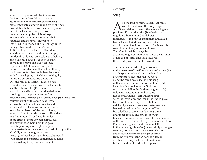**Beowulf** 35

when to hall proceeded Healfdene's son: the king himself would sit to banquet. Ne'er heard I of host in haughtier throng more graciously gathered round giver-of-rings! Bowed then to bench those bearers-of-glory, fain of the feasting. Featly received many a mead-cup the mighty-in-spirit, kinsmen who sat in the sumptuous hall, Hrothgar and Hrothulf. Heorot now was filled with friends; the folk of Scyldings ne'er yet had tried the traitor's deed. To Beowulf gave the bairn of Healfdene a gold-wove banner, guerdon of triumph, broidered battle-flag, breastplate and helmet; and a splendid sword was seen of many borne to the brave one. Beowulf took cup in hall: {15b} for such costly gifts he suffered no shame in that soldier throng. For I heard of few heroes, in heartier mood, with four such gifts, so fashioned with gold, on the ale-bench honoring others thus! O'er the roof of the helmet high, a ridge, wound with wires, kept ward o'er the head, lest the relict-of-files {15c} should fierce invade, sharp in the strife, when that shielded hero should go to grapple against his foes. Then the earls'-defence {15d} on the floor {15e} bade lead coursers eight, with carven head-gear, adown the hall: one horse was decked with a saddle all shining and set in jewels; 'twas the battle-seat of the best of kings, when to play of swords the son of Healfdene was fain to fare. Ne'er failed his valor in the crush of combat when corpses fell. To Beowulf over them both then gave the refuge-of-Ingwines right and power, <sup>o</sup>'er war-steeds and weapons: wished him joy of them. Manfully thus the mighty prince, hoard-guard for heroes, that hard fight repaid with steeds and treasures contemned by none who is willing to say the sooth aright.

# **XVI**

 $\forall$ 

And the lord of earls, to each that came<br>with Beowulf over the briny ways,<br>an heirloom there at the ale-bench gave, precious gift; and the price {16a} bade pay in gold for him whom Grendel erst murdered, -- and fain of them more had killed, had not wisest God their Wyrd averted, and the man's {16b} brave mood. The Maker then ruled human kind, as here and now. Therefore is insight always best, and forethought of mind. How much awaits him of lief and of loath, who long time here, through days of warfare this world endures!

Then song and music mingled sounds in the presence of Healfdene's head-of-armies {16c} and harping was heard with the hero-lay as Hrothgar's singer the hall-joy woke along the mead-seats, making his song of that sudden raid on the sons of Finn. {16d} Healfdene's hero, Hnaef the Scylding, was fated to fall in the Frisian slaughter. {16e} Hildeburh needed not hold in value her enemies' honor! {16f} Innocent both were the loved ones she lost at the linden-play, bairn and brother, they bowed to fate, stricken by spears; 'twas a sorrowful woman! None doubted why the daughter of Hoc bewailed her doom when dawning came, and under the sky she saw them lying, kinsmen murdered, where most she had kenned of the sweets of the world! By war were swept, too, Finn's own liegemen, and few were left; in the parleying-place {16g} he could ply no longer weapon, nor war could he wage on Hengest, and rescue his remnant by right of arms from the prince's thane. A pact he offered: another dwelling the Danes should have, hall and high-seat, and half the power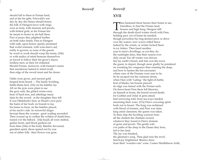**Beowulf** 37

#### **XVII**

 $\forall$ 

Then hastened those heroes their home to see, friendless, to find the Frisian land, houses and high burg. Hengest still through the death-dyed winter dwelt with Finn, holding pact, yet of home he minded, though powerless his ring-decked prow to drive over the waters, now waves rolled fierce lashed by the winds, or winter locked them in icy fetters. Then fared another year to men's dwellings, as yet they do, the sunbright skies, that their season ever duly await. Far off winter was driven; fair lay earth's breast; and fain was the rover, the guest, to depart, though more gladly he pondered on wreaking his vengeance than roaming the deep, and how to hasten the hot encounter where sons of the Frisians were sure to be. So he escaped not the common doom, when Hun with "Lafing," the light-of-battle, best of blades, his bosom pierced: its edge was famed with the Frisian earls. On fierce-heart Finn there fell likewise, on himself at home, the horrid sword-death; for Guthlaf and Oslaf of grim attack had sorrowing told, from sea-ways landed, mourning their woes. {17a} Finn's wavering spirit bode not in breast. The burg was reddened with blood of foemen, and Finn was slain, king amid clansmen; the queen was taken. To their ship the Scylding warriors bore all the chattels the chieftain owned, whatever they found in Finn's domain of gems and jewels. The gentle wife <sup>o</sup>'er paths of the deep to the Danes they bore, led to her land. The lay was finished, the gleeman's song. Then glad rose the revel; bench-joy brightened. Bearers draw from their "wonder-vats" wine. Comes Wealhtheow forth,

should fall to them in Frisian land; and at the fee-gifts, Folcwald's son day by day the Danes should honor, the folk of Hengest favor with rings, even as truly, with treasure and jewels, with fretted gold, as his Frisian kin he meant to honor in ale-hall there. Pact of peace they plighted further on both sides firmly. Finn to Hengest with oath, upon honor, openly promised that woful remnant, with wise-men's aid, nobly to govern, so none of the guests by word or work should warp the treaty, {16h} or with malice of mind bemoan themselves as forced to follow their fee-giver's slayer, lordless men, as their lot ordained. Should Frisian, moreover, with foeman's taunt, that murderous hatred to mind recall, then edge of the sword must seal his doom.

Oaths were given, and ancient gold heaped from hoard. -- The hardy Scylding, battle-thane best, {16i} on his balefire lay. All on the pyre were plain to see the gory sark, the gilded swine-crest, boar of hard iron, and athelings many slain by the sword: at the slaughter they fell. It was Hildeburh's hest, at Hnaef's own pyre the bairn of her body on brands to lay, his bones to burn, on the balefire placed, at his uncle's side. In sorrowful dirges bewept them the woman: great wailing ascended. Then wound up to welkin the wildest of death-fires, roared o'er the hillock: {16j} heads all were melted, gashes burst, and blood gushed out from bites {16k} of the body. Balefire devoured, greediest spirit, those spared not by war out of either folk: their flower was gone.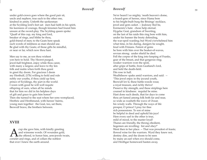under gold-crown goes where the good pair sit, uncle and nephew, true each to the other one, kindred in amity. Unferth the spokesman at the Scylding lord's feet sat: men had faith in his spirit, his keenness of courage, though kinsmen had found him unsure at the sword-play. The Scylding queen spoke: "Quaff of this cup, my king and lord, breaker of rings, and blithe be thou, gold-friend of men; to the Geats here speak such words of mildness as man should use. Be glad with thy Geats; of those gifts be mindful, or near or far, which now thou hast.

Men say to me, as son thou wishest yon hero to hold. Thy Heorot purged, jewel-hall brightest, enjoy while thou canst, with many a largess; and leave to thy kin folk and realm when forth thou goest to greet thy doom. For gracious I deem my Hrothulf, {17b} willing to hold and rule nobly our youths, if thou yield up first, prince of Scyldings, thy part in the world. I ween with good he will well requite offspring of ours, when all he minds that for him we did in his helpless days of gift and grace to gain him honor!" Then she turned to the seat where her sons wereplaced, Hrethric and Hrothmund, with heroes' bairns, young men together: the Geat, too, sat there, Beowulf brave, the brothers between.

#### **XVIII**

**A** cup she gave him, with kindly greeting and winsome words. Of wounden gold, she offered, to honor him, arm-jewels twain, corselet and rings, and of collars the noblest that ever I knew the earth around.

#### **Beowulf** 39

 $\forall$ 

Ne'er heard I so mighty, 'neath heaven's dome, a hoard-gem of heroes, since Hama bore to his bright-built burg the Brisings' necklace, jewel and gem casket. -- Jealousy fled he, Eormenric's hate: chose help eternal. Hygelac Geat, grandson of Swerting, on the last of his raids this ring bore with him, under his banner the booty defending, the war-spoil warding; but Wyrd o'erwhelmed him what time, in his daring, dangers he sought, feud with Frisians. Fairest of gems he bore with him over the beaker-of-waves, sovran strong: under shield he died. Fell the corpse of the king into keeping of Franks, gear of the breast, and that gorgeous ring; weaker warriors won the spoil, after gripe of battle, from Geatland's lord, and held the death-field. Din rose in hall. Wealhtheow spake amid warriors, and said: -- "This jewel enjoy in thy jocund youth, Beowulf lov'd, these battle-weeds wear, a royal treasure, and richly thrive! Preserve thy strength, and these striplings here counsel in kindness: requital be mine. Hast done such deeds, that for days to come thou art famed among folk both far and near, so wide as washeth the wave of Ocean his windy walls. Through the ways of life prosper, O prince! I pray for thee rich possessions. To son of mine be helpful in deed and uphold his joys! Here every earl to the other is true, mild of mood, to the master loyal! Thanes are friendly, the throng obedient, liegemen are revelling: list and obey!" Went then to her place. -- That was proudest of feasts; flowed wine for the warriors. Wyrd they knew not, destiny dire, and the doom to be seen by many an earl when eve should come, and Hrothgar homeward hasten away,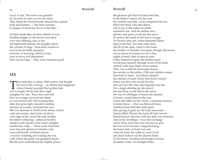royal, to rest. The room was guarded by an army of earls, as erst was done. They bared the bench-boards; abroad they spread beds and bolsters. -- One beer-carouser in danger of doom lay down in the hall. --

At their heads they set their shields of war, bucklers bright; on the bench were there over each atheling, easy to see, the high battle-helmet, the haughty spear, the corselet of rings. 'Twas their custom so ever to be for battle prepared, at home, or harrying, which it were, even as oft as evil threatened their sovran king. -- They were clansmen good.

# **XIX**

Then sank they to sleep. With sorrow one bought his rest of the evening, -- as ofttime had happened when Grendel guarded that golden hall, evil wrought, till his end drew nigh, slaughter for sins. 'Twas seen and told how an avenger survived the fiend, as was learned afar. The livelong time after that grim fight, Grendel's mother, monster of women, mourned her woe. She was doomed to dwell in the dreary waters, cold sea-courses, since Cain cut down with edge of the sword his only brother, his father's offspring: outlawed he fled, marked with murder, from men's delights warded the wilds. -- There woke from him such fate-sent ghosts as Grendel, who, war-wolf horrid, at Heorot found a warrior watching and waiting the fray, with whom the grisly one grappled amain. But the man remembered his mighty power,

#### **Beowulf** 41

 $\forall$ 

the glorious gift that God had sent him, in his Maker's mercy put his trust for comfort and help: so he conquered the foe, felled the fiend, who fled abject, reft of joy, to the realms of death, mankind's foe. And his mother now, gloomy and grim, would go that quest of sorrow, the death of her son to avenge. To Heorot came she, where helmeted Danes slept in the hall. Too soon came back old ills of the earls, when in she burst, the mother of Grendel. Less grim, though, that terror, <sup>e</sup>'en as terror of woman in war is less, might of maid, than of men in arms when, hammer-forged, the falchion hard, sword gore-stained, through swine of the helm, crested, with keen blade carves amain. Then was in hall the hard-edge drawn, the swords on the settles, {19a} and shields a-many firm held in hand: nor helmet minded nor harness of mail, whom that horror seized. Haste was hers; she would hie afar and save her life when the liegemen saw her. Yet a single atheling up she seized fast and firm, as she fled to the moor. He was for Hrothgar of heroes the dearest, of trusty vassals betwixt the seas, whom she killed on his couch, a clansman famous, in battle brave. -- Nor was Beowulf there; another house had been held apart, after giving of gold, for the Geat renowned. -- Uproar filled Heorot; the hand all had viewed, blood-flecked, she bore with her; bale was returned, dole in the dwellings: 'twas dire exchange where Dane and Geat were doomed to give the lives of loved ones. Long-tried king, the hoary hero, at heart was sad when he knew his noble no more lived, and dead indeed was his dearest thane. To his bower was Beowulf brought in haste, dauntless victor. As daylight broke,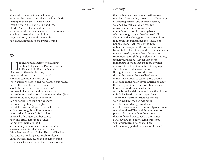along with his earls the atheling lord, with his clansmen, came where the king abode waiting to see if the Wielder-of-All would turn this tale of trouble and woe. Strode o'er floor the famed-in-strife, with his hand-companions, -- the hall resounded, - wishing to greet the wise old king, Ingwines' lord; he asked if the night had passed in peace to the prince's mind.

# **XX**

Hrothgar spake, helmet-of-Scyldings: -- "Ask not of pleasure! Pain is renewed to Danish folk. Dead is Aeschere, of Yrmenlaf the elder brother, my sage adviser and stay in council, shoulder-comrade in stress of fight when warriors clashed and we warded our heads, hewed the helm-boars; hero famed should be every earl as Aeschere was! But here in Heorot a hand hath slain him of wandering death-sprite. I wot not whither, {20a} proud of the prey, her path she took, fain of her fill. The feud she avenged that yesternight, unyieldingly, Grendel in grimmest grasp thou killedst, - seeing how long these liegemen mine he ruined and ravaged. Reft of life, in arms he fell. Now another comes, keen and cruel, her kin to avenge, faring far in feud of blood: so that many a thane shall think, who e'er sorrows in soul for that sharer of rings, this is hardest of heart-bales. The hand lies low that once was willing each wish to please. Land-dwellers here {20b} and liegemen mine, who house by those parts, I have heard relate

#### **Beowulf** 43

 $\forall$ 

that such a pair they have sometimes seen, march-stalkers mighty the moorland haunting, wandering spirits: one of them seemed, so far as my folk could fairly judge, of womankind; and one, accursed, in man's guise trod the misery-track of exile, though huger than human bulk. Grendel in days long gone they named him, folk of the land; his father they knew not, nor any brood that was born to him of treacherous spirits. Untrod is their home; by wolf-cliffs haunt they and windy headlands, fenways fearful, where flows the stream from mountains gliding to gloom of the rocks, underground flood. Not far is it hence in measure of miles that the mere expands, and o'er it the frost-bound forest hanging, sturdily rooted, shadows the wave. By night is a wonder weird to see, fire on the waters. So wise lived none of the sons of men, to search those depths! Nay, though the heath-rover, harried by dogs, the horn-proud hart, this holt should seek, long distance driven, his dear life first on the brink he yields ere he brave the plunge to hide his head: 'tis no happy place! Thence the welter of waters washes up wan to welkin when winds bestir evil storms, and air grows dusk, and the heavens weep. Now is help once more with thee alone! The land thou knowst not, place of fear, where thou findest out that sin-flecked being. Seek if thou dare! I will reward thee, for waging this fight, with ancient treasure, as erst I did, with winding gold, if thou winnest back."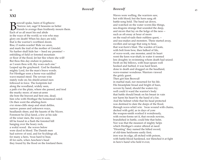# **XXI**

Beowulf spake, bairn of Ecgtheow:<br>"Sorrow not, sage! It beseems us better<br>friends to avenge than fruitlessly mourn them. Each of us all must his end abide in the ways of the world; so win who may glory ere death! When his days are told, that is the warrior's worthiest doom. Rise, O realm-warder! Ride we anon, and mark the trail of the mother of Grendel. No harbor shall hide her -- heed my promise! - enfolding of field or forested mountain or floor of the flood, let her flee where she will! But thou this day endure in patience, as I ween thou wilt, thy woes each one." Leaped up the graybeard: God he thanked, mighty Lord, for the man's brave words. For Hrothgar soon a horse was saddled wave-maned steed. The sovran wise stately rode on; his shield-armed men followed in force. The footprints led along the woodland, widely seen, a path o'er the plain, where she passed, and trod the murky moor; of men-at-arms she bore the bravest and best one, dead, him who with Hrothgar the homestead ruled. On then went the atheling-born <sup>o</sup>'er stone-cliffs steep and strait defiles, narrow passes and unknown ways, headlands sheer, and the haunts of the Nicors. Foremost he {21a} fared, a few at his side of the wiser men, the ways to scan, till he found in a flash the forested hill hanging over the hoary rock, a woful wood: the waves below were dyed in blood. The Danish men had sorrow of soul, and for Scyldings all, for many a hero, 'twas hard to bear, ill for earls, when Aeschere's head they found by the flood on the foreland there.

#### **Beowulf** 45

 $\forall$ 

Waves were welling, the warriors saw, hot with blood; but the horn sang oft battle-song bold. The band sat down, and watched on the water worm-like things, sea-dragons strange that sounded the deep, and nicors that lay on the ledge of the ness - such as oft essay at hour of morn on the road-of-sails their ruthless quest, - and sea-snakes and monsters. These started away, swollen and savage that song to hear, that war-horn's blast. The warden of Geats, with bolt from bow, then balked of life, of wave-work, one monster, amid its heart went the keen war-shaft; in water it seemed less doughty in swimming whom death had seized. Swift on the billows, with boar-spears well hooked and barbed, it was hard beset, done to death and dragged on the headland, wave-roamer wondrous. Warriors viewed the grisly guest. Then girt him Beowulf in martial mail, nor mourned for his life. His breastplate broad and bright of hues, woven by hand, should the waters try; well could it ward the warrior's body that battle should break on his breast in vain nor harm his heart by the hand of a foe. And the helmet white that his head protected was destined to dare the deeps of the flood, through wave-whirl win: 'twas wound with chains, decked with gold, as in days of yore the weapon-smith worked it wondrously, with swine-forms set it, that swords nowise, brandished in battle, could bite that helm. Nor was that the meanest of mighty helps which Hrothgar's orator offered at need: "Hrunting" they named the hilted sword, of old-time heirlooms easily first; iron was its edge, all etched with poison, with battle-blood hardened, nor blenched it at fight in hero's hand who held it ever,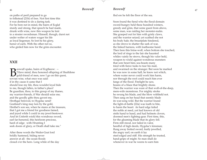on paths of peril prepared to go to folkstead {21b} of foes. Not first time this it was destined to do a daring task. For he bore not in mind, the bairn of Ecglaf sturdy and strong, that speech he had made, drunk with wine, now this weapon he lent to a stouter swordsman. Himself, though, durst not under welter of waters wager his life as loyal liegeman. So lost he his glory, honor of earls. With the other not so, who girded him now for the grim encounter.

# **XXII**

Beowulf spake, bairn of Ecgtheow: --<br>"Have mind, thou honored offspring of Healfdene gold-friend of men, now I go on this quest, sovran wise, what once was said: if in thy cause it came that I should lose my life, thou wouldst loyal bide to me, though fallen, in father's place! Be guardian, thou, to this group of my thanes, my warrior-friends, if War should seize me; and the goodly gifts thou gavest me, Hrothgar beloved, to Hygelac send! Geatland's king may ken by the gold, Hrethel's son see, when he stares at the treasure, that I got me a friend for goodness famed, and joyed while I could in my jewel-bestower. And let Unferth wield this wondrous sword, earl far-honored, this heirloom precious, hard of edge: with Hrunting I seek doom of glory, or Death shall take me."

After these words the Weder-Geat lord boldly hastened, biding never answer at all: the ocean floods closed o'er the hero. Long while of the day

#### **Beowulf** 47

₼

fled ere he felt the floor of the sea.

Soon found the fiend who the flood-domain sword-hungry held these hundred winters, greedy and grim, that some guest from above, some man, was raiding her monster-realm. She grasped out for him with grisly claws, and the warrior seized; yet scathed she not his body hale; the breastplate hindered, as she strove to shatter the sark of war, the linked harness, with loathsome hand. Then bore this brine-wolf, when bottom she touched, the lord of rings to the lair she haunted whiles vainly he strove, though his valor held, weapon to wield against wondrous monsters that sore beset him; sea-beasts many tried with fierce tusks to tear his mail, and swarmed on the stranger. But soon he marked he was now in some hall, he knew not which, where water never could work him harm, nor through the roof could reach him ever fangs of the flood. Firelight he saw, beams of a blaze that brightly shone. Then the warrior was ware of that wolf-of-the-deep, mere-wife monstrous. For mighty stroke he swung his blade, and the blow withheld not. Then sang on her head that seemly blade its war-song wild. But the warrior found the light-of-battle {22a} was loath to bite, to harm the heart: its hard edge failed the noble at need, yet had known of old strife hand to hand, and had helmets cloven, doomed men's fighting-gear. First time, this, for the gleaming blade that its glory fell. Firm still stood, nor failed in valor, heedful of high deeds, Hygelac's kinsman; flung away fretted sword, featly jewelled, the angry earl; on earth it lay steel-edged and stiff. His strength he trusted, hand-gripe of might. So man shall do whenever in war he weens to earn him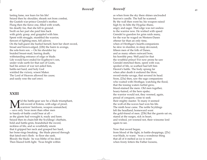lasting fame, nor fears for his life! Seized then by shoulder, shrank not from combat, the Geatish war-prince Grendel's mother. Flung then the fierce one, filled with wrath, his deadly foe, that she fell to ground. Swift on her part she paid him back with grisly grasp, and grappled with him. Spent with struggle, stumbled the warrior, fiercest of fighting-men, fell adown. On the hall-guest she hurled herself, hent her short sword, broad and brown-edged, {22b} the bairn to avenge, the sole-born son. -- On his shoulder lay braided breast-mail, barring death, withstanding entrance of edge or blade. Life would have ended for Ecgtheow's son, under wide earth for that earl of Geats, had his armor of war not aided him, battle-net hard, and holy God wielded the victory, wisest Maker. The Lord of Heaven allowed his cause; and easily rose the earl erect.

# **XXIII**

**M**id the battle-gear saw he a blade triumphant, old-sword of Eotens, with edge of proof, warriors' heirloom, weapon unmatched, -- save only 'twas more than other men to bandy-of-battle could bear at all - as the giants had wrought it, ready and keen. Seized then its chain-hilt the Scyldings' chieftain, bold and battle-grim, brandished the sword, reckless of life, and so wrathfully smote that it gripped her neck and grasped her hard, her bone-rings breaking: the blade pierced through that fated-one's flesh: to floor she sank. Bloody the blade: he was blithe of his deed. Then blazed forth light. 'Twas bright within

#### **Beowulf** 49

as when from the sky there shines unclouded heaven's candle. The hall he scanned. By the wall then went he; his weapon raised high by its hilts the Hygelac-thane, angry and eager. That edge was not useless to the warrior now. He wished with speed Grendel to guerdon for grim raids many, for the war he waged on Western-Danes oftener far than an only time, when of Hrothgar's hearth-companions he slew in slumber, in sleep devoured, fifteen men of the folk of Danes, and as many others outward bore, his horrible prey. Well paid for that the wrathful prince! For now prone he saw Grendel stretched there, spent with war, spoiled of life, so scathed had left him Heorot's battle. The body sprang far when after death it endured the blow, sword-stroke savage, that severed its head. Soon, {23a} then, saw the sage companions who waited with Hrothgar, watching the flood, that the tossing waters turbid grew, blood-stained the mere. Old men together, hoary-haired, of the hero spake; the warrior would not, they weened, again, proud of conquest, come to seek their mighty master. To many it seemed the wolf-of-the-waves had won his life. The ninth hour came. The noble Scyldings left the headland; homeward went the gold-friend of men. {23b} But the guests sat on, stared at the surges, sick in heart, and wished, yet weened not, their winsome lord again to see.

Now that sword began,

 $\forall$ 

from blood of the fight, in battle-droppings, {23c} war-blade, to wane: 'twas a wondrous thing that all of it melted as ice is wont when frosty fetters the Father loosens,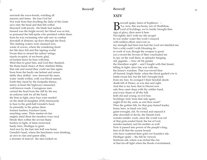unwinds the wave-bonds, wielding all seasons and times: the true God he!

save only the head and that hilt withal blazoned with jewels: the blade had melted,

The clashing waters were cleansed now, waste of waves, where the wandering fiend her life-days left and this lapsing world. Swam then to strand the sailors'-refuge, sturdy-in-spirit, of sea-booty glad, of burden brave he bore with him.

an arduous task for all the band,

So presently to the palace there foemen fearless, fourteen Geats, marching came. Their master-of-clan mighty amid them the meadow-ways trod. Strode then within the sovran thane fearless in fight, of fame renowned, hardy hero, Hrothgar to greet.

an awe to clan and queen alike,

the firm in fight, since four were needed on the shaft-of-slaughter {23d} strenuously to bear to the gold-hall Grendel's head.

And next by the hair into hall was borne

a monster of marvel: the men looked on.

Grendel's head, where the henchmen were drinking,

Went then to greet him, and God they thanked, the thane-band choice of their chieftain blithe, that safe and sound they could see him again. Soon from the hardy one helmet and armor deftly they doffed: now drowsed the mere, water 'neath welkin, with war-blood stained. Forth they fared by the footpaths thence, merry at heart the highways measured, well-known roads. Courageous men carried the head from the cliff by the sea,

Nor took from that dwelling the duke of the Geats

burned was the bright sword, her blood was so hot, so poisoned the hell-sprite who perished within there. Soon he was swimming who safe saw in combat downfall of demons; up-dove through the flood.

#### *Beowulf* <sup>50</sup>

**Beowulf** 51

#### **XXIV**

 $\forall$ 

**B**eowulf spake, bairn of Ecgtheow: --<br>"Lo, now, this sea-booty, son of Healfdene,<br>Lord of Scyldings, we've lustily brought thee, sign of glory; thou seest it here. Not lightly did I with my life escape! In war under water this work I essayed with endless effort; and even so my strength had been lost had the Lord not shielded me. Not a whit could I with Hrunting do in work of war, though the weapon is good; yet a sword the Sovran of Men vouchsafed me to spy on the wall there, in splendor hanging, old, gigantic, -- how oft He guides the friendless wight! -- and I fought with that brand, felling in fight, since fate was with me, the house's wardens. That war-sword then all burned, bright blade, when the blood gushed o'er it, battle-sweat hot; but the hilt I brought back from my foes. So avenged I their fiendish deeds death-fall of Danes, as was due and right. And this is my hest, that in Heorot now safe thou canst sleep with thy soldier band, and every thane of all thy folk both old and young; no evil fear, Scyldings' lord, from that side again, aught ill for thy earls, as erst thou must!" Then the golden hilt, for that gray-haired leader, hoary hero, in hand was laid, giant-wrought, old. So owned and enjoyed it after downfall of devils, the Danish lord, wonder-smiths' work, since the world was rid of that grim-souled fiend, the foe of God, murder-marked, and his mother as well. Now it passed into power of the people's king, best of all that the oceans bound who have scattered their gold o'er Scandia's isle. Hrothgar spake -- the hilt he viewed, heirloom old, where was etched the rise of that far-off fight when the floods o'erwhelmed,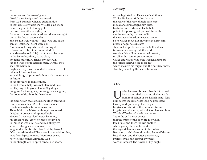raging waves, the race of giants (fearful their fate!), a folk estranged from God Eternal: whence guerdon due in that waste of waters the Wielder paid them. So on the guard of shining gold in runic staves it was rightly said for whom the serpent-traced sword was wrought, best of blades, in bygone days, and the hilt well wound. -- The wise-one spake, son of Healfdene; silent were all: -- "Lo, so may he say who sooth and right follows 'mid folk, of far times mindful, a land-warden old, {24a} that this earl belongs to the better breed! So, borne aloft, thy fame must fly, O friend my Beowulf, far and wide o'er folksteads many. Firmly thou shalt all maintain, mighty strength with mood of wisdom. Love of mine will I assure thee, as, awhile ago, I promised; thou shalt prove a stay in future, in far-off years, to folk of thine, to the heroes a help. Was not Heremod thus to offspring of Ecgwela, Honor-Scyldings, nor grew for their grace, but for grisly slaughter, for doom of death to the Danishmen.

He slew, wrath-swollen, his shoulder-comrades, companions at board! So he passed alone, chieftain haughty, from human cheer. Though him the Maker with might endowed, delights of power, and uplifted high above all men, yet blood-fierce his mind, his breast-hoard, grew, no bracelets gave he to Danes as was due; he endured all joyless strain of struggle and stress of woe, long feud with his folk. Here find thy lesson! Of virtue advise thee! This verse I have said for thee, wise from lapsed winters. Wondrous seems how to sons of men Almighty God in the strength of His spirit sendeth wisdom,

#### **Beowulf** 53

Ŧ

estate, high station: He swayeth all things. Whiles He letteth right lustily fare the heart of the hero of high-born race, - in seat ancestral assigns him bliss, his folk's sure fortress in fee to hold, puts in his power great parts of the earth, empire so ample, that end of it this wanter-of-wisdom weeneth none. So he waxes in wealth, nowise can harm him illness or age; no evil cares shadow his spirit; no sword-hate threatens from ever an enemy: all the world wends at his will, no worse he knoweth, till all within him obstinate pride waxes and wakes while the warden slumbers, the spirit's sentry; sleep is too fast which masters his might, and the murderer nears, stealthily shooting the shafts from his bow!

# **XXV**

 $\forall$ 

Inder harness his heart then is hit indeed<br>by sharpest shafts; and no shelter avails<br>from foul behest of the hellish fiend. {25a} Him seems too little what long he possessed. Greedy and grim, no golden rings he gives for his pride; the promised future forgets he and spurns, with all God has sent him, Wonder-Wielder, of wealth and fame. Yet in the end it ever comes that the frame of the body fragile yields, fated falls; and there follows another who joyously the jewels divides, the royal riches, nor recks of his forebear. Ban, then, such baleful thoughts, Beowulf dearest, best of men, and the better part choose, profit eternal; and temper thy pride, warrior famous! The flower of thy might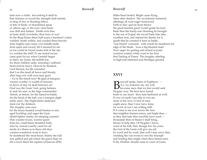lasts now a while: but erelong it shall be that sickness or sword thy strength shall minish, or fang of fire, or flooding billow, or bite of blade, or brandished spear, or odious age; or the eyes' clear beam wax dull and darken: Death even thee in haste shall o'erwhelm, thou hero of war! So the Ring-Danes these half-years a hundred I ruled, wielded 'neath welkin, and warded them bravely from mighty-ones many o'er middle-earth, from spear and sword, till it seemed for me no foe could be found under fold of the sky. Lo, sudden the shift! To me seated secure came grief for joy when Grendel began to harry my home, the hellish foe; for those ruthless raids, unresting I suffered heart-sorrow heavy. Heaven be thanked, Lord Eternal, for life extended that I on this head all hewn and bloody, after long evil, with eyes may gaze! -- Go to the bench now! Be glad at banquet, warrior worthy! A wealth of treasure at dawn of day, be dealt between us!" Glad was the Geats' lord, going betimes to seek his seat, as the Sage commanded. Afresh, as before, for the famed-in-battle, for the band of the hall, was a banquet dight nobly anew. The Night-Helm darkened dusk o'er the drinkers. The doughty ones rose: for the hoary-headed would hasten to rest, aged Scylding; and eager the Geat, shield-fighter sturdy, for sleeping yearned. Him wander-weary, warrior-guest from far, a hall-thane heralded forth, who by custom courtly cared for all needs of a thane as in those old days warrior-wanderers wont to have. So slumbered the stout-heart. Stately the hall rose gabled and gilt where the guest slept on till a raven black the rapture-of-heaven {25b}

#### **Beowulf** 55

blithe-heart boded. Bright came flying shine after shadow. The swordsmen hastened, athelings all were eager homeward forth to fare; and far from thence the great-hearted guest would guide his keel. Bade then the hardy-one Hrunting be brought to the son of Ecglaf, the sword bade him take, excellent iron, and uttered his thanks for it, quoth that he counted it keen in battle, "war-friend" winsome: with words he slandered not edge of the blade: 'twas a big-hearted man! Now eager for parting and armed at point warriors waited, while went to his host that Darling of Danes. The doughty atheling to high-seat hastened and Hrothgar greeted.

# **XXVI**

 $\forall$ 

Beowulf spake, bairn of Ecgtheow: --<br>B<sup>"</sup>Lo, we seafarers say our will,<br>far-come men, that we fain would seek Hygelac now. We here have found hosts to our heart: thou hast harbored us well. If ever on earth I am able to win me more of thy love, O lord of men, aught anew, than I now have done, for work of war I am willing still! If it come to me ever across the seas that neighbor foemen annoy and fright thee, - as they that hate thee erewhile have used, - thousands then of thanes I shall bring, heroes to help thee. Of Hygelac I know, ward of his folk, that, though few his years, the lord of the Geats will give me aid by word and by work, that well I may serve thee, wielding the war-wood to win thy triumph and lending thee might when thou lackest men. If thy Hrethric should come to court of Geats,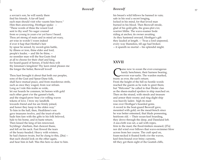a sovran's son, he will surely there find his friends. A far-off land each man should visit who vaunts him brave." Him then answering, Hrothgar spake: -- "These words of thine the wisest God sent to thy soul! No sager counsel from so young in years e'er yet have I heard. Thou art strong of main and in mind art wary, art wise in words! I ween indeed if ever it hap that Hrethel's heir by spear be seized, by sword-grim battle, by illness or iron, thine elder and lord, people's leader, -- and life be thine, - no seemlier man will the Sea-Geats find at all to choose for their chief and king, for hoard-guard of heroes, if hold thou wilt thy kinsman's kingdom! Thy keen mind pleases me the longer the better, Beowulf loved!

Thou hast brought it about that both our peoples, sons of the Geat and Spear-Dane folk, shall have mutual peace, and from murderous strife, such as once they waged, from war refrain. Long as I rule this realm so wide, let our hoards be common, let heroes with gold each other greet o'er the gannet's-bath, and the ringed-prow bear o'er rolling waves tokens of love. I trow my landfolk towards friend and foe are firmly joined, and honor they keep in the olden way." To him in the hall, then, Healfdene's son gave treasures twelve, and the trust-of-earls bade him fare with the gifts to his folk beloved, hale to his home, and in haste return. Then kissed the king of kin renowned, Scyldings' chieftain, that choicest thane, and fell on his neck. Fast flowed the tears of the hoary-headed. Heavy with winters, he had chances twain, but he clung to this, {26a} - that each should look on the other again, and hear him in hall. Was this hero so dear to him.

#### **Beowulf** 57

his breast's wild billows he banned in vain; safe in his soul a secret longing, locked in his mind, for that loved man burned in his blood. Then Beowulf strode, glad of his gold-gifts, the grass-plot o'er, warrior blithe. The wave-roamer bode riding at anchor, its owner awaiting. As they hastened onward, Hrothgar's gift they lauded at length. -- 'Twas a lord unpeered, every way blameless, till age had broken -- it spareth no mortal -- his splendid might.

# **XXVII**

 $\forall$ 

Tame now to ocean the ever-courageous<br>hardy henchmen, their harness bearing,<br>woven war-sarks. The warden marked, trusty as ever, the earl's return. From the height of the hill no hostile words reached the guests as he rode to greet them; but "Welcome!" he called to that Weder clan as the sheen-mailed spoilers to ship marched on. Then on the strand, with steeds and treasure and armor their roomy and ring-dight ship was heavily laden: high its mast rose over Hrothgar's hoarded gems. <sup>A</sup> sword to the boat-guard Beowulf gave, mounted with gold; on the mead-bench since he was better esteemed, that blade possessing, heirloom old. -- Their ocean-keel boarding, they drove through the deep, and Daneland left. A sea-cloth was set, a sail with ropes, firm to the mast; the flood-timbers moaned; {27a} nor did wind over billows that wave-swimmer blow across from her course. The craft sped on, foam-necked it floated forth o'er the waves, keel firm-bound over briny currents, till they got them sight of the Geatish cliffs,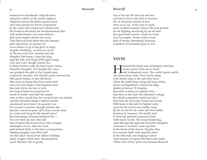home-known headlands. High the boat, stirred by winds, on the strand updrove. Helpful at haven the harbor-guard stood, who long already for loved companions by the water had waited and watched afar. He bound to the beach the broad-bosomed ship with anchor-bands, lest ocean-billows that trusty timber should tear away. Then Beowulf bade them bear the treasure, gold and jewels; no journey far was it thence to go to the giver of rings, Hygelac Hrethling: at home he dwelt by the sea-wall close, himself and clan. Haughty that house, a hero the king, high the hall, and Hygd {27b} right young, wise and wary, though winters few in those fortress walls she had found a home, Haereth's daughter. Nor humble her ways, nor grudged she gifts to the Geatish men, of precious treasure. Not Thryth's pride showed she, folk-queen famed, or that fell deceit. Was none so daring that durst make bold (save her lord alone) of the liegemen dear that lady full in the face to look, but forged fetters he found his lot, bonds of death! And brief the respite; soon as they seized him, his sword-doom was spoken, and the burnished blade a baleful murder proclaimed and closed. No queenly way for woman to practise, though peerless she, that the weaver-of-peace {27c} from warrior dear by wrath and lying his life should reave! But Hemming's kinsman hindered this. -- For over their ale men also told that of these folk-horrors fewer she wrought, onslaughts of evil, after she went, gold-decked bride, to the brave young prince, atheling haughty, and Offa's hall <sup>o</sup>'er the fallow flood at her father's bidding safely sought, where since she prospered, royal, throned, rich in goods,

#### **Beowulf** 59

fain of the fair life fate had sent her, and leal in love to the lord of warriors. He, of all heroes I heard of ever from sea to sea, of the sons of earth, most excellent seemed. Hence Offa was praised for his fighting and feeing by far-off men, the spear-bold warrior; wisely he ruled over his empire. Eomer woke to him, help of heroes, Hemming's kinsman, Grandson of Garmund, grim in war.

# **XXVIII**

 $\forall$ 

I astened the hardy one, henchmen with him,<br>sandy strand of the sea to tread<br>and widespread ways. The world's great candle, sun shone from south. They strode along with sturdy steps to the spot they knew where the battle-king young, his burg within, slayer of Ongentheow, shared the rings, shelter-of-heroes. To Hygelac Beowulf's coming was quickly told, - that there in the court the clansmen's refuge, the shield-companion sound and alive, hale from the hero-play homeward strode. With haste in the hall, by highest order, room for the rovers was readily made. By his sovran he sat, come safe from battle, kinsman by kinsman. His kindly lord he first had greeted in gracious form, with manly words. The mead dispensing, came through the high hall Haereth's daughter, winsome to warriors, wine-cup bore to the hands of the heroes. Hygelac then his comrade fairly with question plied in the lofty hall, sore longing to know what manner of sojourn the Sea-Geats made. "What came of thy quest, my kinsman Beowulf,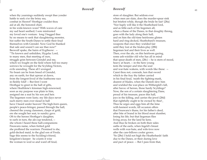$\forall$ 

when thy yearnings suddenly swept thee yonder battle to seek o'er the briny sea, combat in Heorot? Hrothgar couldst thou aid at all, the honored chief, in his wide-known woes? With waves of care my sad heart seethed; I sore mistrusted my loved one's venture: long I begged thee by no means to seek that slaughtering monster, but suffer the South-Danes to settle their feud themselves with Grendel. Now God be thanked that safe and sound I can see thee now!" Beowulf spake, the bairn of Ecgtheow: -- "'Tis known and unhidden, Hygelac Lord, to many men, that meeting of ours, struggle grim between Grendel and me, which we fought on the field where full too many sorrows he wrought for the Scylding-Victors, evils unending. These all I avenged. No boast can be from breed of Grendel, any on earth, for that uproar at dawn, from the longest-lived of the loathsome race in fleshly fold! -- But first I went Hrothgar to greet in the hall of gifts, where Healfdene's kinsman high-renowned, soon as my purpose was plain to him, assigned me a seat by his son and heir. The liegemen were lusty; my life-days never such merry men over mead in hall have I heard under heaven! The high-born queen, people's peace-bringer, passed through the hall, cheered the young clansmen, clasps of gold, ere she sought her seat, to sundry gave. Oft to the heroes Hrothgar's daughter, to earls in turn, the ale-cup tendered, - she whom I heard these hall-companions Freawaru name, when fretted gold she proffered the warriors. Promised is she, gold-decked maid, to the glad son of Froda. Sage this seems to the Scylding's-friend, kingdom's-keeper: he counts it wise the woman to wed so and ward off feud,

#### **Beowulf** 61

store of slaughter. But seldom ever when men are slain, does the murder-spear sink but briefest while, though the bride be fair! {28a} "Nor haply will like it the Heathobard lord, and as little each of his liegemen all, when a thane of the Danes, in that doughty throng, goes with the lady along their hall, and on him the old-time heirlooms glisten hard and ring-decked, Heathobard's treasure, weapons that once they wielded fair until they lost at the linden-play {28b} liegeman leal and their lives as well. Then, over the ale, on this heirloom gazing, some ash-wielder old who has all in mind that spear-death of men,  ${28c}$  -- he is stern of mood, heavy at heart, -- in the hero young tests the temper and tries the soul and war-hate wakens, with words like these: -- Canst thou not, comrade, ken that sword which to the fray thy father carried in his final feud, 'neath the fighting-mask, dearest of blades, when the Danish slew him and wielded the war-place on Withergild's fall, after havoc of heroes, those hardy Scyldings? Now, the son of a certain slaughtering Dane, proud of his treasure, paces this hall, joys in the killing, and carries the jewel {28d} that rightfully ought to be owned by thee!\_ Thus he urges and eggs him all the time with keenest words, till occasion offers that Freawaru's thane, for his father's deed, after bite of brand in his blood must slumber, losing his life; but that liegeman flies living away, for the land he kens. And thus be broken on both their sides oaths of the earls, when Ingeld's breast wells with war-hate, and wife-love now after the care-billows cooler grows. "So {28e} I hold not high the Heathobards' faith due to the Danes, or their during love and pact of peace. -- But I pass from that,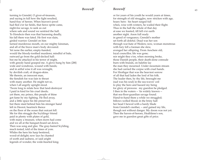turning to Grendel, O giver-of-treasure, and saying in full how the fight resulted, hand-fray of heroes. When heaven's jewel had fled o'er far fields, that fierce sprite came, night-foe savage, to seek us out where safe and sound we sentried the hall. To Hondscio then was that harassing deadly, his fall there was fated. He first was slain, girded warrior. Grendel on him turned murderous mouth, on our mighty kinsman, and all of the brave man's body devoured. Yet none the earlier, empty-handed, would the bloody-toothed murderer, mindful of bale, outward go from the gold-decked hall: but me he attacked in his terror of might, with greedy hand grasped me. A glove hung by him {28f} wide and wondrous, wound with bands; and in artful wise it all was wrought, by devilish craft, of dragon-skins. Me therein, an innocent man, the fiendish foe was fain to thrust with many another. He might not so, when I all angrily upright stood. 'Twere long to relate how that land-destroyer I paid in kind for his cruel deeds; yet there, my prince, this people of thine got fame by my fighting. He fled away, and a little space his life preserved; but there staid behind him his stronger hand left in Heorot; heartsick thence on the floor of the ocean that outcast fell. Me for this struggle the Scyldings'-friend paid in plenty with plates of gold, with many a treasure, when morn had come and we all at the banquet-board sat down. Then was song and glee. The gray-haired Scylding, much tested, told of the times of yore. Whiles the hero his harp bestirred, wood-of-delight; now lays he chanted of sooth and sadness, or said aright legends of wonder, the wide-hearted king;

#### **Beowulf** 63

Ŧ

 $\forall$ 

or for years of his youth he would yearn at times, for strength of old struggles, now stricken with age, hoary hero: his heart surged full when, wise with winters, he wailed their flight. Thus in the hall the whole of that day at ease we feasted, till fell o'er earth another night. Anon full ready in greed of vengeance, Grendel's mother set forth all doleful. Dead was her son through war-hate of Weders; now, woman monstrous with fury fell a foeman she slew, avenged her offspring. From Aeschere old, loyal councillor, life was gone; nor might they e'en, when morning broke, those Danish people, their death-done comrade burn with brands, on balefire lay the man they mourned. Under mountain stream she had carried the corpse with cruel hands. For Hrothgar that was the heaviest sorrow of all that had laden the lord of his folk. The leader then, by thy life, besought me (sad was his soul) in the sea-waves' coil to play the hero and hazard my being for glory of prowess: my guerdon he pledged. I then in the waters -- 'tis widely known - that sea-floor-guardian savage found. Hand-to-hand there a while we struggled; billows welled blood; in the briny hall her head I hewed with a hardy blade from Grendel's mother, -- and gained my life, though not without danger. My doom was not yet. Then the haven-of-heroes, Healfdene's son, gave me in guerdon great gifts of price.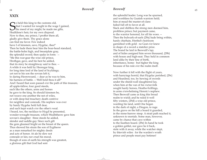$\forall$ 

# **XXIX**

**S** o held this king to the customs old,<br>that I wanted for nought in the wage I gained,<br>the meed of my might; he made me gifts, Healfdene's heir, for my own disposal. Now to thee, my prince, I proffer them all, gladly give them. Thy grace alone can find me favor. Few indeed have I of kinsmen, save, Hygelac, thee!" Then he bade them bear him the boar-head standard, the battle-helm high, and breastplate gray, the splendid sword; then spake in form: -- "Me this war-gear the wise old prince, Hrothgar, gave, and his hest he added, that its story be straightway said to thee. -- <sup>A</sup> while it was held by Heorogar king, for long time lord of the land of Scyldings; yet not to his son the sovran left it, to daring Heoroweard, -- dear as he was to him, his harness of battle. -- Well hold thou it all!" And I heard that soon passed o'er the path of this treasure, all apple-fallow, four good steeds, each like the others, arms and horses he gave to the king. So should kinsmen be, not weave one another the net of wiles, or with deep-hid treachery death contrive for neighbor and comrade. His nephew was ever by hardy Hygelac held full dear, and each kept watch o'er the other's weal. I heard, too, the necklace to Hygd he presented, wonder-wrought treasure, which Wealhtheow gave him sovran's daughter: three steeds he added, slender and saddle-gay. Since such gift the gem gleamed bright on the breast of the queen. Thus showed his strain the son of Ecgtheow as a man remarked for mighty deeds and acts of honor. At ale he slew not comrade or kin; nor cruel his mood, though of sons of earth his strength was greatest, a glorious gift that God had sent

#### **Beowulf** 65

the splendid leader. Long was he spurned, and worthless by Geatish warriors held; him at mead the master-of-clans failed full oft to favor at all. Slack and shiftless the strong men deemed him, profitless prince; but payment came, to the warrior honored, for all his woes. -- Then the bulwark-of-earls {29a} bade bring within, hardy chieftain, Hrethel's heirloom garnished with gold: no Geat e'er knew in shape of a sword a statelier prize. The brand he laid in Beowulf's lap; and of hides assigned him seven thousand, {29b} with house and high-seat. They held in common land alike by their line of birth, inheritance, home: but higher the king because of his rule o'er the realm itself.

Now further it fell with the flight of years, with harryings horrid, that Hygelac perished, {29c} and Heardred, too, by hewing of swords under the shield-wall slaughtered lay, when him at the van of his victor-folk sought hardy heroes, Heatho-Scilfings, in arms o'erwhelming Hereric's nephew. Then Beowulf came as king this broad realm to wield; and he ruled it well fifty winters, {29d} a wise old prince, warding his land, until One began in the dark of night, a Dragon, to rage. In the grave on the hill a hoard it guarded, in the stone-barrow steep. A strait path reached it, unknown to mortals. Some man, however, came by chance that cave within to the heathen hoard. {29e} In hand he took a golden goblet, nor gave he it back, stole with it away, while the watcher slept, by thievish wiles: for the warden's wrath prince and people must pay betimes!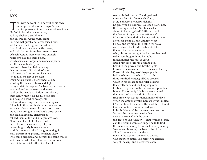# **XXX**

That way he went with no will of his own,<br>in danger of life, to the dragon's hoard,<br>but for pressure of peril, some prince's thane. He fled in fear the fatal scourge, seeking shelter, a sinful man, and entered in. At the awful sight tottered that guest, and terror seized him; yet the wretched fugitive rallied anon from fright and fear ere he fled away, and took the cup from that treasure-hoard. Of such besides there was store enough, heirlooms old, the earth below, which some earl forgotten, in ancient years, left the last of his lofty race, heedfully there had hidden away, dearest treasure. For death of yore had hurried all hence; and he alone left to live, the last of the clan, weeping his friends, yet wished to bide warding the treasure, his one delight, though brief his respite. The barrow, new-ready, to strand and sea-waves stood anear, hard by the headland, hidden and closed; there laid within it his lordly heirlooms and heaped hoard of heavy gold that warden of rings. Few words he spake: "Now hold thou, earth, since heroes may not, what earls have owned! Lo, erst from thee brave men brought it! But battle-death seized and cruel killing my clansmen all, robbed them of life and a liegeman's joys. None have I left to lift the sword, or to cleanse the carven cup of price, beaker bright. My brave are gone. And the helmet hard, all haughty with gold, shall part from its plating. Polishers sleep who could brighten and burnish the battle-mask; and those weeds of war that were wont to brave over bicker of shields the bite of steel

#### **Beowulf** 67

 $\forall$ 

rust with their bearer. The ringed mail fares not far with famous chieftain, at side of hero! No harp's delight, no glee-wood's gladness! No good hawk now flies through the hall! Nor horses fleet stamp in the burgstead! Battle and death the flower of my race have reft away." Mournful of mood, thus he moaned his woe, alone, for them all, and unblithe wept by day and by night, till death's fell wave <sup>o</sup>'erwhelmed his heart. His hoard-of-bliss that old ill-doer open found, who, blazing at twilight the barrows haunteth, naked foe-dragon flying by night folded in fire: the folk of earth dread him sore. 'Tis his doom to seek hoard in the graves, and heathen gold to watch, many-wintered: nor wins he thereby! Powerful this plague-of-the-people thus held the house of the hoard in earth three hundred winters; till One aroused wrath in his breast, to the ruler bearing that costly cup, and the king implored for bond of peace. So the barrow was plundered, borne off was booty. His boon was granted that wretched man; and his ruler saw first time what was fashioned in far-off days. When the dragon awoke, new woe was kindled. O'er the stone he snuffed. The stark-heart found footprint of foe who so far had gone in his hidden craft by the creature's head. -- So may the undoomed easily flee evils and exile, if only he gain the grace of The Wielder! -- That warden of gold <sup>o</sup>'er the ground went seeking, greedy to find the man who wrought him such wrong in sleep. Savage and burning, the barrow he circled all without; nor was any there, none in the waste.... Yet war he desired, was eager for battle. The barrow he entered, sought the cup, and discovered soon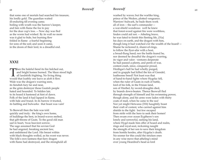that some one of mortals had searched his treasure, his lordly gold. The guardian waited ill-enduring till evening came; boiling with wrath was the barrow's keeper, and fain with flame the foe to pay for the dear cup's loss. -- Now day was fled as the worm had wished. By its wall no more was it glad to bide, but burning flew folded in flame: a fearful beginning for sons of the soil; and soon it came, in the doom of their lord, to a dreadful end.

# **XXXI**

Then the baleful fiend its fire belched out,<br>and bright homes burned. The blaze stood high<br>all landsfolk frighting. No living thing would that loathly one leave as aloft it flew. Wide was the dragon's warring seen, its fiendish fury far and near, as the grim destroyer those Geatish people hated and hounded. To hidden lair, to its hoard it hastened at hint of dawn. Folk of the land it had lapped in flame, with bale and brand. In its barrow it trusted, its battling and bulwarks: that boast was vain!

To Beowulf then the bale was told quickly and truly: the king's own home, of buildings the best, in brand-waves melted, that gift-throne of Geats. To the good old man sad in heart, 'twas heaviest sorrow. The sage assumed that his sovran God he had angered, breaking ancient law, and embittered the Lord. His breast within with black thoughts welled, as his wont was never. The folk's own fastness that fiery dragon with flame had destroyed, and the stronghold all

#### **Beowulf** 69

 $\forall$ 

washed by waves; but the warlike king, prince of the Weders, plotted vengeance. Warriors'-bulwark, he bade them work all of iron -- the earl's commander - a war-shield wondrous: well he knew that forest-wood against fire were worthless, linden could aid not. -- Atheling brave, he was fated to finish this fleeting life, {31a} his days on earth, and the dragon with him, though long it had watched o'er the wealth of the hoard! -- Shame he reckoned it, sharer-of-rings, to follow the flyer-afar with a host, a broad-flung band; nor the battle feared he, nor deemed he dreadful the dragon's warring, its vigor and valor: ventures desperate he had passed a-plenty, and perils of war, contest-crash, since, conqueror proud, Hrothgar's hall he had wholly purged, and in grapple had killed the kin of Grendel, loathsome breed! Not least was that of hand-to-hand fights where Hygelac fell, when the ruler of Geats in rush of battle, lord of his folk, in the Frisian land, son of Hrethel, by sword-draughts died, by brands down-beaten. Thence Beowulf fled through strength of himself and his swimming power, though alone, and his arms were laden with thirty coats of mail, when he came to the sea! Nor yet might Hetwaras {31b} haughtily boast their craft of contest, who carried against him shields to the fight: but few escaped from strife with the hero to seek their homes! Then swam over ocean Ecgtheow's son lonely and sorrowful, seeking his land, where Hygd made him offer of hoard and realm, rings and royal-seat, reckoning naught the strength of her son to save their kingdom from hostile hordes, after Hygelac's death. No sooner for this could the stricken ones in any wise move that atheling's mind over young Heardred's head as lord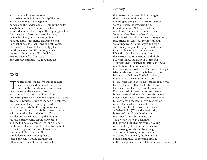and ruler of all the realm to be: yet the hero upheld him with helpful words, aided in honor, till, older grown, he wielded the Weder-Geats. -- Wandering exiles sought him o'er seas, the sons of Ohtere, who had spurned the sway of the Scylfings'-helmet, the bravest and best that broke the rings, in Swedish land, of the sea-kings' line, haughty hero. {31c} Hence Heardred's end. For shelter he gave them, sword-death came, the blade's fell blow, to bairn of Hygelac; but the son of Ongentheow sought again house and home when Heardred fell, leaving Beowulf lord of Geats and gift-seat's master. -- A good king he!

# **XXXII**

The fall of his lord he was fain to requite in after days; and to Eadgils he proved friend to the friendless, and forces sent over the sea to the son of Ohtere, weapons and warriors: well repaid he those care-paths cold when the king he slew. {32a} Thus safe through struggles the son of Ecgtheow had passed a plenty, through perils dire, with daring deeds, till this day was come that doomed him now with the dragon to strive. With comrades eleven the lord of Geats swollen in rage went seeking the dragon. He had heard whence all the harm arose and the killing of clansmen; that cup of price on the lap of the lord had been laid by the finder. In the throng was this one thirteenth man, starter of all the strife and ill, care-laden captive; cringing thence forced and reluctant, he led them on till he came in ken of that cavern-hall,

#### **Beowulf** 71

 $\forall$ 

the barrow delved near billowy surges, flood of ocean. Within 'twas full of wire-gold and jewels; a jealous warden, warrior trusty, the treasures held, lurked in his lair. Not light the task of entrance for any of earth-born men! Sat on the headland the hero king, spake words of hail to his hearth-companions, gold-friend of Geats. All gloomy his soul, wavering, death-bound. Wyrd full nigh stood ready to greet the gray-haired man, to seize his soul-hoard, sunder apart life and body. Not long would be the warrior's spirit enwound with flesh. Beowulf spake, the bairn of Ecgtheow: -- "Through store of struggles I strove in youth, mighty feuds; I mind them all. I was seven years old when the sovran of rings, friend-of-his-folk, from my father took me, had me, and held me, Hrethel the king, with food and fee, faithful in kinship. Ne'er, while I lived there, he loathlier found me, bairn in the burg, than his birthright sons, Herebeald and Haethcyn and Hygelac mine. For the eldest of these, by unmeet chance, by kinsman's deed, was the death-bed strewn, when Haethcyn killed him with horny bow, his own dear liege laid low with an arrow, missed the mark and his mate shot down, one brother the other, with bloody shaft. <sup>A</sup> feeless fight, {32b} and a fearful sin, horror to Hrethel; yet, hard as it was, unavenged must the atheling die! Too awful it is for an aged man to bide and bear, that his bairn so young rides on the gallows. A rime he makes, sorrow-song for his son there hanging as rapture of ravens; no rescue now can come from the old, disabled man! Still is he minded, as morning breaks, of the heir gone elsewhere; {32c} another he hopes not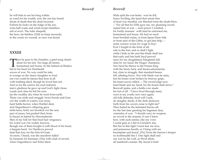he will bide to see his burg within as ward for his wealth, now the one has found doom of death that the deed incurred. Forlorn he looks on the lodge of his son, wine-hall waste and wind-swept chambers reft of revel. The rider sleepeth, the hero, far-hidden; {32d} no harp resounds, in the courts no wassail, as once was heard.

#### **XXXIII**

Then he goes to his chamber, a grief-song chants<br>alone for his lost. Too large all seems,<br>homestead and house. So the helmet-of-Weders hid in his heart for Herebeald waves of woe. No way could he take to avenge on the slayer slaughter so foul; nor e'en could he harass that hero at all with loathing deed, though he loved him not. And so for the sorrow his soul endured, men's gladness he gave up and God's light chose. Lands and cities he left his sons (as the wealthy do) when he went from earth. There was strife and struggle 'twixt Swede and Geat <sup>o</sup>'er the width of waters; war arose, hard battle-horror, when Hrethel died, and Ongentheow's offspring grew strife-keen, bold, nor brooked o'er the seas pact of peace, but pushed their hosts to harass in hatred by Hreosnabeorh. Men of my folk for that feud had vengeance, for woful war ('tis widely known), though one of them bought it with blood of his heart, a bargain hard: for Haethcyn proved fatal that fray, for the first-of-Geats. At morn, I heard, was the murderer killed by kinsman for kinsman, {33a} with clash of sword, when Ongentheow met Eofor there.

#### **Beowulf** 73

 $\forall$ 

Wide split the war-helm: wan he fell, hoary Scylfing; the hand that smote him of feud was mindful, nor flinched from the death-blow. -- "For all that he {33b} gave me, my gleaming sword repaid him at war, -- such power I wielded, - for lordly treasure: with land he entrusted me, homestead and house. He had no need from Swedish realm, or from Spear-Dane folk, or from men of the Gifths, to get him help, - some warrior worse for wage to buy! Ever I fought in the front of all, sole to the fore; and so shall I fight while I bide in life and this blade shall last that early and late hath loyal proved since for my doughtiness Daeghrefn fell, slain by my hand, the Hugas' champion. Nor fared he thence to the Frisian king with the booty back, and breast-adornments; but, slain in struggle, that standard-bearer fell, atheling brave. Not with blade was he slain, but his bones were broken by brawny gripe, his heart-waves stilled. -- The sword-edge now, hard blade and my hand, for the hoard shall strive." Beowulf spake, and a battle-vow made his last of all: "I have lived through many wars in my youth; now once again, old folk-defender, feud will I seek, do doughty deeds, if the dark destroyer forth from his cavern come to fight me!" Then hailed he the helmeted heroes all, for the last time greeting his liegemen dear, comrades of war: "I should carry no weapon, no sword to the serpent, if sure I knew how, with such enemy, else my vows I could gain as I did in Grendel's day. But fire in this fight I must fear me now, and poisonous breath; so I bring with me breastplate and board. {33c} From the barrow's keeper no footbreadth flee I. One fight shall end our war by the wall, as Wyrd allots, all mankind's master. My mood is bold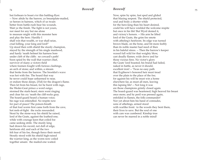$\forall$ 

but forbears to boast o'er this battling-flyer. -- Now abide by the barrow, ye breastplate-mailed, ye heroes in harness, which of us twain better from battle-rush bear his wounds. Wait ye the finish. The fight is not yours, nor meet for any but me alone to measure might with this monster here and play the hero. Hardily I shall win that wealth, or war shall seize, cruel killing, your king and lord!" Up stood then with shield the sturdy champion, stayed by the strength of his single manhood, and hardy 'neath helmet his harness bore under cleft of the cliffs: no coward's path! Soon spied by the wall that warrior chief, survivor of many a victory-field where foemen fought with furious clashings, an arch of stone; and within, a stream that broke from the barrow. The brooklet's wave was hot with fire. The hoard that way he never could hope unharmed to near, or endure those deeps, {33d} for the dragon's flame. Then let from his breast, for he burst with rage, the Weder-Geat prince a word outgo; stormed the stark-heart; stern went ringing and clear his cry 'neath the cliff-rocks gray. The hoard-guard heard a human voice; his rage was enkindled. No respite now for pact of peace! The poison-breath of that foul worm first came forth from the cave, hot reek-of-fight: the rocks resounded. Stout by the stone-way his shield he raised, lord of the Geats, against the loathed-one; while with courage keen that coiled foe came seeking strife. The sturdy king had drawn his sword, not dull of edge, heirloom old; and each of the two felt fear of his foe, though fierce their mood. Stoutly stood with his shield high-raised the warrior king, as the worm now coiled together amain: the mailed-one waited.

#### **Beowulf** 75

Now, spire by spire, fast sped and glided that blazing serpent. The shield protected, soul and body a shorter while for the hero-king than his heart desired, could his will have wielded the welcome respite but once in his life! But Wyrd denied it, and victory's honors. -- His arm he lifted lord of the Geats, the grim foe smote with atheling's heirloom. Its edge was turned brown blade, on the bone, and bit more feebly than its noble master had need of then in his baleful stress. -- Then the barrow's keeper waxed full wild for that weighty blow, cast deadly flames; wide drove and far those vicious fires. No victor's glory the Geats' lord boasted; his brand had failed, naked in battle, as never it should, excellent iron! -- 'Twas no easy path that Ecgtheow's honored heir must tread over the plain to the place of the foe; for against his will he must win a home elsewhere far, as must all men, leaving this lapsing life! -- Not long it was ere those champions grimly closed again. The hoard-guard was heartened; high heaved his breast once more; and by peril was pressed again, enfolded in flames, the folk-commander! Nor yet about him his band of comrades, sons of athelings, armed stood with warlike front: to the woods they bent them, their lives to save. But the soul of one with care was cumbered. Kinship true can never be marred in a noble mind!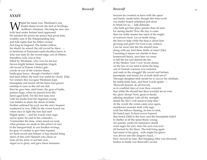# **XXXIV**

Wiglaf his name was, Weohstan's son,<br>linden-thane loved, the lord of Scylfings,<br>Aelfhere's kinsman. His king he now saw with heat under helmet hard oppressed. He minded the prizes his prince had given him, wealthy seat of the Waegmunding line, and folk-rights that his father owned Not long he lingered. The linden yellow, his shield, he seized; the old sword he drew: - as heirloom of Eanmund earth-dwellers knew it, who was slain by the sword-edge, son of Ohtere, friendless exile, erst in fray killed by Weohstan, who won for his kin brown-bright helmet, breastplate ringed, old sword of Eotens, Onela's gift, weeds of war of the warrior-thane, battle-gear brave: though a brother's child had been felled, the feud was unfelt by Onela. {34a} For winters this war-gear Weohstan kept, breastplate and board, till his bairn had grown earlship to earn as the old sire did: then he gave him, mid Geats, the gear of battle, portion huge, when he passed from life, fared aged forth. For the first time now with his leader-lord the liegeman young was bidden to share the shock of battle. Neither softened his soul, nor the sire's bequest weakened in war. {34b} So the worm found out when once in fight the foes had met! Wiglaf spake, -- and his words were sage; sad in spirit, he said to his comrades: -- "I remember the time, when mead we took, what promise we made to this prince of ours in the banquet-hall, to our breaker-of-rings, for gear of combat to give him requital, for hard-sword and helmet, if hap should bring stress of this sort! Himself who chose us from all his army to aid him now, urged us to glory, and gave these treasures,

#### **Beowulf** 77

 $\forall$ 

because he counted us keen with the spear and hardy 'neath helm, though this hero-work our leader hoped unhelped and alone to finish for us, -- folk-defender who hath got him glory greater than all men for daring deeds! Now the day is come that our noble master has need of the might of warriors stout. Let us stride along the hero to help while the heat is about him glowing and grim! For God is my witness I am far more fain the fire should seize along with my lord these limbs of mine! {34c} Unsuiting it seems our shields to bear homeward hence, save here we essay to fell the foe and defend the life of the Weders' lord. I wot 'twere shame on the law of our land if alone the king out of Geatish warriors woe endured and sank in the struggle! My sword and helmet, breastplate and board, for us both shall serve!" Through slaughter-reek strode he to succor his chieftain, his battle-helm bore, and brief words spake: -- "Beowulf dearest, do all bravely, as in youthful days of yore thou vowedst that while life should last thou wouldst let no wise thy glory droop! Now, great in deeds, atheling steadfast, with all thy strength shield thy life! I will stand to help thee." At the words the worm came once again, murderous monster mad with rage, with fire-billows flaming, its foes to seek, the hated men. In heat-waves burned that board {34d} to the boss, and the breastplate failed to shelter at all the spear-thane young. Yet quickly under his kinsman's shield went eager the earl, since his own was now all burned by the blaze. The bold king again had mind of his glory: with might his glaive was driven into the dragon's head, - blow nerved by hate. But Naegling {34e} was shivered, broken in battle was Beowulf's sword,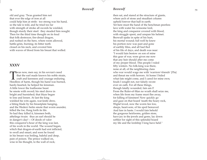old and gray. 'Twas granted him not that ever the edge of iron at all could help him at strife: too strong was his hand, so the tale is told, and he tried too far with strength of stroke all swords he wielded, though sturdy their steel: they steaded him nought. Then for the third time thought on its feud that folk-destroyer, fire-dread dragon, and rushed on the hero, where room allowed, battle-grim, burning; its bitter teeth closed on his neck, and covered him with waves of blood from his breast that welled.

# **XXXV**

Twas now, men say, in his sovran's need<br>that the earl made known his noble strain,<br>craft and keenness and courage enduring. Heedless of harm, though his hand was burned, hardy-hearted, he helped his kinsman. A little lower the loathsome beast he smote with sword; his steel drove in bright and burnished; that blaze began to lose and lessen. At last the king wielded his wits again, war-knife drew, a biting blade by his breastplate hanging, and the Weders'-helm smote that worm asunder, felled the foe, flung forth its life. So had they killed it, kinsmen both, athelings twain: thus an earl should be in danger's day! -- Of deeds of valor this conqueror's-hour of the king was last, of his work in the world. The wound began, which that dragon-of-earth had erst inflicted, to swell and smart; and soon he found in his breast was boiling, baleful and deep, pain of poison. The prince walked on, wise in his thought, to the wall of rock;

#### *Beowulf* 79

 $\forall$ 

then sat, and stared at the structure of giants, where arch of stone and steadfast column upheld forever that hall in earth. Yet here must the hand of the henchman peerless lave with water his winsome lord, the king and conqueror covered with blood, with struggle spent, and unspan his helmet. Beowulf spake in spite of his hurt, his mortal wound; full well he knew his portion now was past and gone of earthly bliss, and all had fled of his file of days, and death was near: "I would fain bestow on son of mine this gear of war, were given me now that any heir should after me come of my proper blood. This people I ruled fifty winters. No folk-king was there, none at all, of the neighboring clans who war would wage me with 'warriors'-friends' {35a} and threat me with horrors. At home I bided what fate might come, and I cared for mine own; feuds I sought not, nor falsely swore ever on oath. For all these things, though fatally wounded, fain am I! From the Ruler-of-Man no wrath shall seize me, when life from my frame must flee away, for killing of kinsmen! Now quickly go and gaze on that hoard 'neath the hoary rock, Wiglaf loved, now the worm lies low, sleeps, heart-sore, of his spoil bereaved. And fare in haste. I would fain behold the gorgeous heirlooms, golden store, have joy in the jewels and gems, lay down softlier for sight of this splendid hoard my life and the lordship I long have held."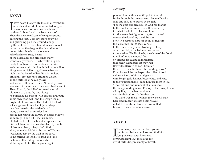# **XXXVI**

I have heard that swiftly the son of Weohstan at wish and word of his wounded king, --<br>war-sick warrior, -- woven mail-coat, battle-sark, bore 'neath the barrow's roof. Then the clansman keen, of conquest proud, passing the seat, {36a} saw store of jewels and glistening gold the ground along; by the wall were marvels, and many a vessel in the den of the dragon, the dawn-flier old: unburnished bowls of bygone men reft of richness; rusty helms of the olden age; and arm-rings many wondrously woven. -- Such wealth of gold, booty from barrow, can burden with pride each human wight: let him hide it who will! -- His glance too fell on a gold-wove banner high o'er the hoard, of handiwork noblest, brilliantly broidered; so bright its gleam, all the earth-floor he easily saw and viewed all these vessels. No vestige now was seen of the serpent: the sword had ta'en him. Then, I heard, the hill of its hoard was reft, old work of giants, by one alone; he burdened his bosom with beakers and plate at his own good will, and the ensign took, brightest of beacons. -- The blade of his lord -- its edge was iron -- had injured deep one that guarded the golden hoard many a year and its murder-fire spread hot round the barrow in horror-billows at midnight hour, till it met its doom. Hasted the herald, the hoard so spurred him his track to retrace; he was troubled by doubt, high-souled hero, if haply he'd find alive, where he left him, the lord of Weders, weakening fast by the wall of the cave. So he carried the load. His lord and king he found all bleeding, famous chief at the lapse of life. The liegeman again

#### **Beowulf** 81

plashed him with water, till point of word broke through the breast-hoard. Beowulf spake, sage and sad, as he stared at the gold. -- "For the gold and treasure, to God my thanks, to the Wielder-of-Wonders, with words I say, for what I behold, to Heaven's Lord, for the grace that I give such gifts to my folk or ever the day of my death be run! Now I've bartered here for booty of treasure the last of my life, so look ye well to the needs of my land! No longer I tarry. <sup>A</sup> barrow bid ye the battle-fanned raise for my ashes. 'Twill shine by the shore of the flood, to folk of mine memorial fair on Hrones Headland high uplifted, that ocean-wanderers oft may hail Beowulf's Barrow, as back from far they drive their keels o'er the darkling wave." From his neck he unclasped the collar of gold, valorous king, to his vassal gave it with bright-gold helmet, breastplate, and ring, to the youthful thane: bade him use them in joy. "Thou art end and remnant of all our race the Waegmunding name. For Wyrd hath swept them, all my line, to the land of doom, earls in their glory: I after them go." This word was the last which the wise old man harbored in heart ere hot death-waves of balefire he chose. From his bosom fled his soul to seek the saints' reward.

#### **XXXVII**

 $\forall$ 

It was heavy hap for that hero young<br>on his lord beloved to look and find him<br>lying on earth with life at end, sorrowful sight. But the slayer too, awful earth-dragon, empty of breath,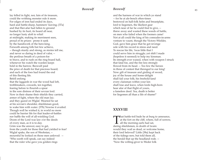lay felled in fight, nor, fain of its treasure, could the writhing monster rule it more. For edges of iron had ended its days, hard and battle-sharp, hammers' leaving; {37a} and that flier-afar had fallen to ground hushed by its hurt, its hoard all near, no longer lusty aloft to whirl at midnight, making its merriment seen, proud of its prizes: prone it sank by the handiwork of the hero-king. Forsooth among folk but few achieve, -- though sturdy and strong, as stories tell me, and never so daring in deed of valor, - the perilous breath of a poison-foe to brave, and to rush on the ring-board hall, whenever his watch the warden keeps bold in the barrow. Beowulf paid the price of death for that precious hoard; and each of the foes had found the end of this fleeting life. Befell erelong that the laggards in war the wood had left, trothbreakers, cowards, ten together, fearing before to flourish a spear in the sore distress of their sovran lord. Now in their shame their shields they carried, armor of fight, where the old man lay; and they gazed on Wiglaf. Wearied he sat at his sovran's shoulder, shieldsman good, to wake him with water. {37b} Nowise it availed. Though well he wished it, in world no more could he barrier life for that leader-of-battles nor baffle the will of all-wielding God. Doom of the Lord was law o'er the deeds of every man, as it is to-day. Grim was the answer, easy to get, from the youth for those that had yielded to fear! Wiglaf spake, the son of Weohstan, - mournful he looked on those men unloved: -- "Who sooth will speak, can say indeed that the ruler who gave you golden rings

#### *Beowulf* 83

and the harness of war in which ye stand -- for he at ale-bench often-times bestowed on hall-folk helm and breastplate, lord to liegemen, the likeliest gear which near of far he could find to give, - threw away and wasted these weeds of battle, on men who failed when the foemen came! Not at all could the king of his comrades-in-arms venture to vaunt, though the Victory-Wielder, God, gave him grace that he got revenge sole with his sword in stress and need. To rescue his life, 'twas little that I could serve him in struggle; yet shift I made (hopeless it seemed) to help my kinsman. Its strength ever waned, when with weapon I struck that fatal foe, and the fire less strongly flowed from its head. -- Too few the heroes in throe of contest that thronged to our king! Now gift of treasure and girding of sword, joy of the house and home-delight shall fail your folk; his freehold-land every clansman within your kin shall lose and leave, when lords high-born hear afar of that flight of yours, a fameless deed. Yea, death is better for liegemen all than a life of shame!"

# **XXXVIII**

 $\forall$ 

That battle-toil bade he at burg to announce, at the fort on the cliff, where, full of sorrow, all the morning earls had sat, daring shieldsmen, in doubt of twain: would they wail as dead, or welcome home, their lord beloved? Little {38a} kept back of the tidings new, but told them all, the herald that up the headland rode. -- "Now the willing-giver to Weder folk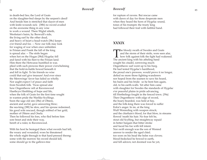#### **Beowulf** 85

for rapture of ravens. But rescue came with dawn of day for those desperate men when they heard the horn of Hygelac sound, tones of his trumpet; the trusty king had followed their trail with faithful band.

# **XXXIX**

 $\forall$ 

The bloody swath of Swedes and Geats and the storm of their strife, were seen afar, how folk against folk the fight had wakened. The ancient king with his atheling band sought his citadel, sorrowing much: Ongentheow earl went up to his burg. He had tested Hygelac's hardihood, the proud one's prowess, would prove it no longer, defied no more those fighting-wanderers nor hoped from the seamen to save his hoard, his bairn and his bride: so he bent him again, old, to his earth-walls. Yet after him came with slaughter for Swedes the standards of Hygelac <sup>o</sup>'er peaceful plains in pride advancing, till Hrethelings fought in the fenced town. {39a} Then Ongentheow with edge of sword, the hoary-bearded, was held at bay, and the folk-king there was forced to suffer Eofor's anger. In ire, at the king Wulf Wonreding with weapon struck; and the chieftain's blood, for that blow, in streams flowed 'neath his hair. No fear felt he, stout old Scylfing, but straightway repaid in better bargain that bitter stroke and faced his foe with fell intent. Nor swift enough was the son of Wonred answer to render the aged chief; too soon on his head the helm was cloven; blood-bedecked he bowed to earth, and fell adown; not doomed was he yet,

in death-bed lies; the Lord of Geats on the slaughter-bed sleeps by the serpent's deed! And beside him is stretched that slayer-of-men with knife-wounds sick: {38b} no sword availed on the awesome thing in any wise to work a wound. There Wiglaf sitteth, Weohstan's bairn, by Beowulf's side, the living earl by the other dead, and heavy of heart a head-watch {38c} keeps <sup>o</sup>'er friend and foe. -- Now our folk may look for waging of war when once unhidden to Frisian and Frank the fall of the king is spread afar. -- The strife began when hot on the Hugas {38d} Hygelac fell and fared with his fleet to the Frisian land. Him there the Hetwaras humbled in war, plied with such prowess their power o'erwhelming that the bold-in-battle bowed beneath it and fell in fight. To his friends no wise could that earl give treasure! And ever since the Merowings' favor has failed us wholly. Nor aught expect I of peace and faith from Swedish folk. 'Twas spread afar how Ongentheow reft at Ravenswood Haethcyn Hrethling of hope and life, when the folk of Geats for the first time sought in wanton pride the Warlike-Scylfings. Soon the sage old sire {38e} of Ohtere, ancient and awful, gave answering blow; the sea-king {38f} he slew, and his spouse redeemed, his good wife rescued, though robbed of her gold, mother of Ohtere and Onela. Then he followed his foes, who fled before him sore beset and stole their way, bereft of a ruler, to Ravenswood.

With his host he besieged there what swords had left, the weary and wounded; woes he threatened the whole night through to that hard-pressed throng: some with the morrow his sword should kill, some should go to the gallows-tree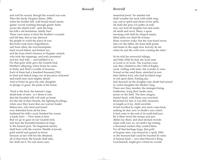and well he waxed, though the wound was sore. Then the hardy Hygelac-thane, {39b} when his brother fell, with broad brand smote, giants' sword crashing through giants'-helm across the shield-wall: sank the king, his folk's old herdsman, fatally hurt. There were many to bind the brother's wounds and lift him, fast as fate allowed his people to wield the place-of-war. But Eofor took from Ongentheow, earl from other, the iron-breastplate, hard sword hilted, and helmet too, and the hoar-chief's harness to Hygelac carried, who took the trappings, and truly promised rich fee 'mid folk, -- and fulfilled it so. For that grim strife gave the Geatish lord, Hrethel's offspring, when home he came, to Eofor and Wulf a wealth of treasure, Each of them had a hundred thousand {39c} in land and linked rings; nor at less price reckoned mid-earth men such mighty deeds! And to Eofor he gave his only daughter in pledge of grace, the pride of his home.

"Such is the feud, the foeman's rage, death-hate of men: so I deem it sure that the Swedish folk will seek us home for this fall of their friends, the fighting-Scylfings, when once they learn that our warrior leader lifeless lies, who land and hoard ever defended from all his foes, furthered his folk's weal, finished his course a hardy hero. -- Now haste is best, that we go to gaze on our Geatish lord, and bear the bountiful breaker-of-rings to the funeral pyre. No fragments merely shall burn with the warrior. Wealth of jewels, gold untold and gained in terror, treasure at last with his life obtained, all of that booty the brands shall take, fire shall eat it. No earl must carry

#### **Beowulf** 87

 $\forall$ 

memorial jewel. No maiden fair shall wreathe her neck with noble ring: nay, sad in spirit and shorn of her gold, oft shall she pass o'er paths of exile now our lord all laughter has laid aside, all mirth and revel. Many a spear morning-cold shall be clasped amain, lifted aloft; nor shall lilt of harp those warriors wake; but the wan-hued raven, fain o'er the fallen, his feast shall praise and boast to the eagle how bravely he ate when he and the wolf were wasting the slain."

So he told his sorrowful tidings, and little {39d} he lied, the loyal man of word or of work. The warriors rose; sad, they climbed to the Cliff-of-Eagles, went, welling with tears, the wonder to view. Found on the sand there, stretched at rest, their lifeless lord, who had lavished rings of old upon them. Ending-day had dawned on the doughty-one; death had seized in woful slaughter the Weders' king. There saw they, besides, the strangest being, loathsome, lying their leader near, prone on the field. The fiery dragon, fearful fiend, with flame was scorched. Reckoned by feet, it was fifty measures in length as it lay. Aloft erewhile it had revelled by night, and anon come back, seeking its den; now in death's sure clutch it had come to the end of its earth-hall joys. By it there stood the stoups and jars; dishes lay there, and dear-decked swords eaten with rust, as, on earth's lap resting, a thousand winters they waited there. For all that heritage huge, that gold of bygone men, was bound by a spell, {39e} so the treasure-hall could be touched by none of human kind, -- save that Heaven's King, God himself, might give whom he would,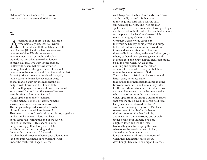Helper of Heroes, the hoard to open, - even such a man as seemed to him meet.

# **XL**

perilous path, it proved, he {40a} trod<br>who heinously hid, that hall within,<br>wealth under wall! Its watcher had killed one of a few, {40b} and the feud was avenged in woful fashion. Wondrous seems it, what manner a man of might and valor oft ends his life, when the earl no longer in mead-hall may live with loving friends. So Beowulf, when that barrow's warden he sought, and the struggle; himself knew not in what wise he should wend from the world at last. For {40c} princes potent, who placed the gold, with a curse to doomsday covered it deep, so that marked with sin the man should be, hedged with horrors, in hell-bonds fast, racked with plagues, who should rob their hoard. Yet no greed for gold, but the grace of heaven, ever the king had kept in view. {40d} Wiglaf spake, the son of Weohstan: -- "At the mandate of one, oft warriors many sorrow must suffer; and so must we. The people's-shepherd showed not aught of care for our counsel, king beloved! That guardian of gold he should grapple not, urged we, but let him lie where he long had been in his earth-hall waiting the end of the world, the hest of heaven. -- This hoard is ours but grievously gotten; too grim the fate which thither carried our king and lord. I was within there, and all I viewed, the chambered treasure, when chance allowed me (and my path was made in no pleasant wise) under the earth-wall. Eager, I seized

#### **Beowulf** 89

₼

such heap from the hoard as hands could bear and hurriedly carried it hither back to my liege and lord. Alive was he still, still wielding his wits. The wise old man spake much in his sorrow, and sent you greetings and bade that ye build, when he breathed no more, on the place of his balefire a barrow high, memorial mighty. Of men was he worthiest warrior wide earth o'er the while he had joy of his jewels and burg. Let us set out in haste now, the second time to see and search this store of treasure, these wall-hid wonders, -- the way I show you, - where, gathered near, ye may gaze your fill at broad-gold and rings. Let the bier, soon made, be all in order when out we come, our king and captain to carry thither -- man beloved -- where long he shall bide safe in the shelter of sovran God." Then the bairn of Weohstan bade command, hardy chief, to heroes many that owned their homesteads, hither to bring firewood from far -- o'er the folk they ruled - for the famed-one's funeral. " Fire shall devour and wan flames feed on the fearless warrior who oft stood stout in the iron-shower, when, sped from the string, a storm of arrows shot o'er the shield-wall: the shaft held firm, featly feathered, followed the barb." And now the sage young son of Weohstan seven chose of the chieftain's thanes, the best he found that band within, and went with these warriors, one of eight, under hostile roof. In hand one bore a lighted torch and led the way. No lots they cast for keeping the hoard when once the warriors saw it in hall, altogether without a guardian, lying there lost. And little they mourned when they had hastily haled it out, dear-bought treasure! The dragon they cast,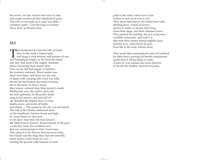the worm, o'er the wall for the wave to take, and surges swallowed that shepherd of gems. Then the woven gold on a wain was laden - countless quite! -- and the king was borne, hoary hero, to Hrones-Ness.

# **XLI**

Then fashioned for him the folk of Geats<br>firm on the earth a funeral-pile,<br>and hung it with helmets and harness of war and breastplates bright, as the boon he asked; and they laid amid it the mighty chieftain, heroes mourning their master dear. Then on the hill that hugest of balefires the warriors wakened. Wood-smoke rose black over blaze, and blent was the roar of flame with weeping (the wind was still), till the fire had broken the frame of bones, hot at the heart. In heavy mood their misery moaned they, their master's death. Wailing her woe, the widow {41a} old, her hair upbound, for Beowulf's death sung in her sorrow, and said full oft she dreaded the doleful days to come, deaths enow, and doom of battle, and shame. -- The smoke by the sky was devoured. The folk of the Weders fashioned there on the headland a barrow broad and high, by ocean-farers far descried: in ten days' time their toil had raised it, the battle-brave's beacon. Round brands of the pyre a wall they built, the worthiest ever that wit could prompt in their wisest men. They placed in the barrow that precious booty, the rounds and the rings they had reft erewhile, hardy heroes, from hoard in cave, - trusting the ground with treasure of earls,

gold in the earth, where ever it lies useless to men as of yore it was. Then about that barrow the battle-keen rode, atheling-born, a band of twelve, lament to make, to mourn their king, chant their dirge, and their chieftain honor. They praised his earlship, his acts of prowess worthily witnessed: and well it is that men their master-friend mightily laud, heartily love, when hence he goes from life in the body forlorn away.

Thus made their mourning the men of Geatland, for their hero's passing his hearth-companions: quoth that of all the kings of earth, of men he was mildest and most beloved, to his kin the kindest, keenest for praise.

 $\forall$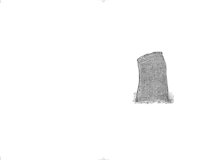

Ŧ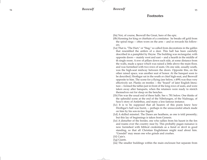#### **Footnotes**

- {0a} Not, of course, Beowulf the Great, hero of the epic.
- {0b} Kenning for king or chieftain of a comitatus: he breaks off gold from the spiral rings -- often worn on the arm -- and so rewards his followers.
- {1a} That is, "The Hart," or "Stag," so called from decorations in the gables that resembled the antlers of a deer. This hall has been carefully described in a pamphlet by Heyne. The building was rectangular, with opposite doors -- mainly west and east -- and a hearth in the middle of th single room. A row of pillars down each side, at some distance from the walls, made a space which was raised a little above the main floor, and was furnished with two rows of seats. On one side, usually south, was the high-seat midway between the doors. Opposite this, on the other raised space, was another seat of honor. At the banquet soon to be described, Hrothgar sat in the south or chief high-seat, and Beowulf opposite to him. The scene for a flying (see below, v.499) was thus very effectively set. Planks on trestles -- the "board" of later English literature -- formed the tables just in front of the long rows of seats, and were taken away after banquets, when the retainers were ready to stretch themselves out for sleep on the benches.
- {1b} Fire was the usual end of these halls. See v. 781 below. One thinks of the splendid scene at the end of the Nibelungen, of the Nialssaga, of Saxo's story of Amlethus, and many a less famous instance.
- {1c} It is to be supposed that all hearers of this poem knew how Hrothgar's hall was burnt, -- perhaps in the unsuccessful attack made on him by his son-in-law Ingeld.
- {1d} A skilled minstrel. The Danes are heathens, as one is told presently; but this lay of beginnings is taken from Genesis.
- {1e} A disturber of the border, one who sallies from his haunt in the fen and roams over the country near by. This probably pagan nuisance is now furnished with biblical credentials as a fiend or devil in good standing, so that all Christian Englishmen might read about him. "Grendel" may mean one who grinds and crushes.
- {1f} Cain's.
- {1g} Giants.

 $\forall$ 

{2a} The smaller buildings within the main enclosure but separate from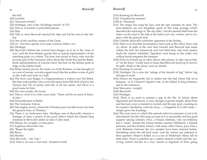**Beowulf** 97

the hall.

{2b} Grendel.

{2c} "Sorcerers-of-hell."

{2d} Hrothgar, who is the "Scyldings'-friend" of 170.

{2e} That is, in formal or prescribed phrase.

{3a} Ship.

- {3b} That is, since Beowulf selected his ship and led his men to the harbor.
- {3c} One of the auxiliary names of the Geats.
- {3d} Or: Not thus openly ever came warriors hither; yet...

{4a} Hrothgar.

- {4b} Beowulf's helmet has several boar-images on it; he is the "man of war"; and the boar-helmet guards him as typical representative of the marching party as a whole. The boar was sacred to Freyr, who was the favorite god of the Germanic tribes about the North Sea and the Baltic. Rude representations of warriors show the boar on the helmet quite as large as the helmet itself.
- {5a} Either merely paved, the strata via of the Romans, or else thought of as a sort of mosaic, an extravagant touch like the reckless waste of gold on the walls and roofs of a hall.
- {6a} The nicor, says Bugge, is a hippopotamus; a walrus, says Ten Brink. But that water-goblin who covers the space from Old Nick of jest to the Neckan and Nix of poetry and tale, is all one needs, and Nicor is a good name for him.
- {6b} His own people, the Geats.
- {6c} That is, cover it as with a face-cloth. "There will be no need of funeral rites."
- {6d} Personification of Battle.
- {6e} The Germanic Vulcan.
- {6f} This mighty power, whom the Christian poet can still revere, has here the general force of "Destiny."
- {7a} There is no irrelevance here. Hrothgar sees in Beowulf's mission a heritage of duty, a return of the good offices which the Danish king rendered to Beowulf's father in time of dire need.
- {7b} Money, for wergild, or man-price.
- {7c} Ecgtheow, Beowulf's sire.
- {8a} "Began the fight."
- {8b} Breca.
- {9a} Murder.
- {10a} Beowulf, -- the "one."
- {11a} That is, he was a "lost soul," doomed to hell.

{12a} Kenning for Beowulf.

{13a} "Guarded the treasure."

- {13b} Sc. Heremod.
- {13c} The singer has sung his lays, and the epic resumes its story. The time-relations are not altogether good in this long passage which describes the rejoicings of "the day after"; but the present shift from the riders on the road to the folk at the hall is not very violent, and is of a piece with the general style.
- {14a} Unferth, Beowulf's sometime opponent in the flyting.
- {15a} There is no horrible inconsistency here such as the critics strive and cry about. In spite of the ruin that Grendel and Beowulf had made within the hall, the framework and roof held firm, and swift repairs made the interior habitable. Tapestries were hung on the walls, and willing hands prepared the banquet.
- {15b} From its formal use in other places, this phrase, to take cup in hall, or "on the floor," would seem to mean that Beowulf stood up to receive his gifts, drink to the donor, and say thanks.
- {15c} Kenning for sword.
- {15d} Hrothgar. He is also the "refuge of the friends of Ing," below. Ing belongs to myth.
- {15e} Horses are frequently led or ridden into the hall where folk sit at banquet: so in Chaucer's Squire's tale, in the ballad of King Estmere, and in the romances.
- {16a} Man-price, wergild.
- {16b} Beowulf's.
- {16c} Hrothgar.

 $\forall$ 

- {16d} There is no need to assume a gap in the Ms. As before about Sigemund and Heremod, so now, though at greater length, about Finn and his feud, a lay is chanted or recited; and the epic poet, counting on his readers' familiarity with the story, -- a fragment of it still exists, -simply gives the headings.
- {16e} The exact story to which this episode refers in summary is not to be determined, but the following account of it is reasonable and has good support among scholars. Finn, a Frisian chieftain, who nevertheless has a "castle" outside the Frisian border, marries Hildeburh, a Danish princess; and her brother, Hnaef, with many other Danes, pays Finn a visit. Relations between the two peoples have been strained before. Something starts the old feud anew; and the visitors are attacked in their quarters. Hnaef is killed; so is a son of Hildeburh. Many fall on both sides. Peace is patched up; a stately funeral is held; and the surviving visitors become in a way vassals or liegemen of Finn, going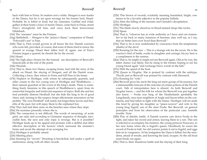**Beowulf** 99

- back with him to Frisia. So matters rest a while. Hengest is now leader of the Danes; but he is set upon revenge for his former lord, Hnaef. Probably he is killed in feud; but his clansmen, Guthlaf and Oslaf, gather at their home a force of sturdy Danes, come back to Frisia, storm Finn's stronghold, kill him, and carry back their kinswoman Hildeburh.
- {16f} The "enemies" must be the Frisians.
- {16g} Battlefield. -- Hengest is the "prince's thane," companion of Hnaef. "Folcwald's son" is Finn.
- {16h} That is, Finn would govern in all honor the few Danish warriors who were left, provided, of course, that none of them tried to renew the quarrel or avenge Hnaef their fallen lord. If, again, one of Finn's Frisians began a quarrel, he should die by the sword.
- {16i} Hnaef.
- {16j} The high place chosen for the funeral: see description of Beowulf's funeral-pile at the end of the poem.
- {16k} Wounds.
- {17a} That is, these two Danes, escaping home, had told the story of the attack on Hnaef, the slaying of Hengest, and all the Danish woes. Collecting a force, they return to Frisia and kill Finn in his home.
- {17b} Nephew to Hrothgar, with whom he subsequently quarrels, and elder cousin to the two young sons of Hrothgar and Wealhtheow, - their natural guardian in the event of the king's death. There is something finely feminine in this speech of Wealhtheow's, apart from its somewhat irregular and irrelevant sequence of topics. Both she and her lord probably distrust Hrothulf; but she bids the king to be of good cheer, and, turning to the suspect, heaps affectionate assurances on his probity. "My own Hrothulf" will surely not forget these favors and benefits of the past, but will repay them to the orphaned boy.
- {19a} They had laid their arms on the benches near where they slept.
- {20a} He surmises presently where she is.
- {20b} The connection is not difficult. The words of mourning, of acute grief, are said; and according to Germanic sequence of thought, inexorable here, the next and only topic is revenge. But is it possible? Hrothgar leads up to his appeal and promise with a skillful and often effective description of the horrors which surround the monster's home and await the attempt of an avenging foe.
- {21a} Hrothgar is probably meant.
- {21b} Meeting place.
- {22a} Kenning for "sword." Hrunting is bewitched, laid under a spell of uselessness, along with all other swords.
- {22b} This brown of swords, evidently meaning burnished, bright, continues to be a favorite adjective in the popular ballads.
- {23a} After the killing of the monster and Grendel's decapitation.
- {23b} Hrothgar.
- {23c} The blade slowly dissolves in blood-stained drops like icicles.
- {23d} Spear.
- {24a} That is, "whoever has as wide authority as I have and can remember so far back so many instances of heroism, may well say, as I say, that no better hero ever lived than Beowulf."
- {25a} That is, he is now undefended by conscience from the temptations (shafts) of the devil.
- {25b} Kenning for the sun. -- This is a strange role for the raven. He is the warrior's bird of battle, exults in slaughter and carnage; his joy here is a compliment to the sunrise.
- {26a} That is, he might or might not see Beowulf again. Old as he was, the latter chance was likely; but he clung to the former, hoping to see his young friend again "and exchange brave words in the hall."
- {27a} With the speed of the boat.
- {27b} Queen to Hygelac. She is praised by contrast with the antitype, Thryth, just as Beowulf was praised by contrast with Heremod.
- {27c} Kenning for "wife."

 $\forall$ 

- {28a} Beowulf gives his uncle the king not mere gossip of his journey, but a statesmanlike forecast of the outcome of certain policies at the Danish court. Talk of interpolation here is absurd. As both Beowulf and Hygelac know, -- and the folk for whom the Beowulf was put together also knew, -- Froda was king of the Heathobards (probably the Langobards, once near neighbors of Angle and Saxon tribes on the continent), and had fallen in fight with the Danes. Hrothgar will set aside this feud by giving his daughter as "peace-weaver" and wife to the young king Ingeld, son of the slain Froda. But Beowulf, on general principles and from his observation of the particular case, foretells trouble. Note:
- {28b} Play of shields, battle. A Danish warrior cuts down Froda in the fight, and takes his sword and armor, leaving them to a son. This son is selected to accompany his mistress, the young princess Freawaru, to her new home when she is Ingeld's queen. Heedlessly he wears the sword of Froda in hall. An old warrior points it out to Ingeld, and eggs him on to vengeance. At his instigation the Dane is killed; but the murderer, afraid of results, and knowing the land, escapes. So the old feud must break out again.
- {28c} That is, their disastrous battle and the slaying of their king.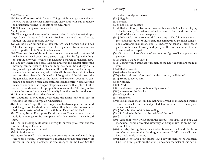# **Beowulf** 101

detailed description below.

{33b} Hygelac.

{33c} Shield.

- {33d} The hollow passage.
- {34a} That is, although Eanmund was brother's son to Onela, the slaying of the former by Weohstan is not felt as cause of feud, and is rewarded by gift of the slain man's weapons.
- {34b} Both Wiglaf and the sword did their duty. -- The following is one of the classic passages for illustrating the comitatus as the most conspicuous Germanic institution, and its underlying sense of duty, based partly on the idea of loyalty and partly on the practical basis of benefits received and repaid.
- {34c} Sc. "than to bide safely here," -- a common figure of incomplete comparison.
- {34d} Wiglaf's wooden shield.
- {34e} Gering would translate "kinsman of the nail," as both are made of iron.

{35a} That is, swords.

- {36a} Where Beowulf lay.
- {37a} What had been left or made by the hammer; well-forged.
- {37b} Trying to revive him.
- {38a} Nothing.
- {38b} Dead.
- {38c} Death-watch, guard of honor, "lyke-wake."
- {38d} A name for the Franks.
- {38e} Ongentheow.
- {38f} Haethcyn.
- {39a} The line may mean: till Hrethelings stormed on the hedged shields,
	- -- i.e. the shield-wall or hedge of defensive war -- Hrethelings, of course, are Geats.
- {39b} Eofor, brother to Wulf Wonreding.
- {39c} Sc. "value in" hides and the weight of the gold.
- {39d} Not at all.

 $\forall$ 

- {39e} Laid on it when it was put in the barrow. This spell, or in our days the "curse," either prevented discovery or brought dire ills on the finder and taker.
- {40a} Probably the fugitive is meant who discovered the hoard. Ten Brink and Gering assume that the dragon is meant. "Hid" may well mean here "took while in hiding."
- {40b} That is "one and a few others." But Beowulf seems to be indicated. {40c} Ten Brink points out the strongly heathen character of this part of

#### {28d} The sword.

- {28e} Beowulf returns to his forecast. Things might well go somewhat as follows, he says; sketches a little tragic story; and with this prophecy by illustration returns to the tale of his adventure.
- {28f} Not an actual glove, but a sort of bag.
- {29a} Hygelac.
- {29b} This is generally assumed to mean hides, though the text simply says "seven thousand." A hide in England meant about 120 acres, though "the size of the acre varied."
- {29c} On the historical raid into Frankish territory between 512 and 520 A.D. The subsequent course of events, as gathered from hints of this epic, is partly told in Scandinavian legend.
- {29d} The chronology of this epic, as scholars have worked it out, would make Beowulf well over ninety years of age when he fights the dragon. But the fifty years of his reign need not be taken as historical fact.
- {29e} The text is here hopelessly illegible, and only the general drift of the meaning can be rescued. For one thing, we have the old myth of a dragon who guards hidden treasure. But with this runs the story of some noble, last of his race, who hides all his wealth within this barrow and there chants his farewell to life's glories. After his death the dragon takes possession of the hoard and watches over it. A condemned or banished man, desperate, hides in the barrow, discovers the treasure, and while the dragon sleeps, makes off with a golden beaker or the like, and carries it for propitiation to his master. The dragon discovers the loss and exacts fearful penalty from the people round about.
- {31a} Literally "loan-days," days loaned to man.
- {31b} Chattuarii, a tribe that dwelt along the Rhine, and took part in repelling the raid of (Hygelac) Chocilaicus.
- {31c} Onla, son of Ongentheow, who pursues his two nephews Eanmund and Eadgils to Heardred's court, where they have taken refuge after their unsuccessful rebellion. In the fighting Heardred is killed.
- {32a} That is, Beowulf supports Eadgils against Onela, who is slain by Eadgils in revenge for the "care-paths" of exile into which Onela forced him.
- {32b} That is, the king could claim no wergild, or man-price, from one son for the killing of the other.
- {32c} Usual euphemism for death.
- {32d} Sc. in the grave.
- {33a} Eofor for Wulf. -- The immediate provocation for Eofor in killing "the hoary Scylfing," Ongentheow, is that the latter has just struck Wulf down; but the king, Haethcyn, is also avenged by the blow. See the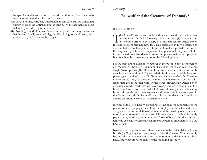$\forall$ 

#### *Beowulf* <sup>102</sup>

the epic. Beowulf's end came, so the old tradition ran, from his unwitting interference with spell-bound treasure

- {40d} A hard saying, variously interpreted. In any case, it is the somewhat clumsy effort of the Christian poet to tone down the heathenism of his material by an edifying observation.
- {41a} Nothing is said of Beowulf's wife in the poem, but Bugge surmises that Beowulf finally accepted Hygd's offer of kingdom and hoard, and, as was usual, took her into the bargain.

# **Beowulf and the Creatures of Denmark\***

Bill Cooper (1995)

The *Beowulf* poem survives in a single manuscript copy that was made in ca AD 1000. Moreover, this manuscript (1) is often stated by modern critics to be a copy of a mid-8th century Anglo-Saxon (i.e. Old English) original, now lost. This original is in turn described as an essentially Christian poem. Yet, the continually repeated assertion of the supposedly Christian origins of the poem not only contributes toward a serious misunderstanding of the poem's nature and purpose, but notably fails to take into account the following facts

Firstly, there are no allusions whatever in the poem to any event, person or teaching of the New Testament. This is in sharp contrast to other Anglo-Saxon poems (The Dream of the Rood, and so on) that certainly are Christian in sentiment. There are definite allusions to certain facts and personages contained in the Old Testament, namely to God, the Creation, to Abel and to Cain, but these are no more than those same historical allusions that are to be met with in the other preChristian Anglo-Saxon genealogies and records that we have already studied in chapter 7 of this book. Like those records, and whilst likewise showing a most interesting historical knowledge of certain events and personages that also appear in the Genesis record, the Beowulf poem clearly pre-dates any knowledge among the Anglo-Saxons of Christianity *per se*.

In view of this, it is hardly surprising to find that the sentiments of the poem are strongly pagan, extolling the highly questionable virtues of vengeance, the accumulation of plunder and the boasting of and reliance upon human strength and prowess. Allusions are also made to blatantly pagan oaths, sacrifices, sentiments and forms of burial. But there are certainly no exclusively Christian sentiments expressed anywhere in its 3182 lines of text.

Nowhere in the poem is any reference made to the British Isles or to any British (or English) king, personage or historical event. This is simply because this epic poem pre-dates the migration of the Saxons to these isles. And what are we to make of the following passage?: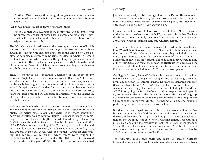'fortham **Offa** waes geoflim ond guthum garcene man wide geweorthod wisdome heold ethel sinne thonon **Eomer** woc haelethum to helpe... ' (2)

Which Alexander (see bibliography) translates thus:

'So it was that Offa [i.e. king of the continental Angles], brave with the spear, was spoken of abroad for his wars and his gifts; he governed with wisdom the land of his birth. To him was born Eomer, helper of the heroes...' (3)

The Offa who is mentioned here was the pre-migration ancestor of his 8th century namesake, King Offa of Mercia (AD 757-796), whom we have already met (along with this same ancestor), in the early Saxon genealogies. We have also met Eomer in the same genealogies, where his name is rendered Eomer and where he is, strictly speaking, the grandson, and not the son, of Offa. These ancient genealogies were clearly fresh in the mind of the writer of Beowulf, which again tells us something of the times in which the poem was composed. (4)

There is, moreover, no sycophantic dedication of the poem to any Christian Anglo-Saxon English king, not even to that King Offa whose ancestor is immortalised in the poem and under whose auspices some modern scholars suggest the poem was written. Many other scholars would plump for an even later date for the poem, yet the characters in the poem can be historically dated to the late 5th and early 6th centuries, years that long preceded the adoption of Christianity by the Saxons. In other words, the poem belongs very firmly indeed to the pagan times which it describes.

<sup>A</sup> detailed study of the historical characters contained in the Beowulf epic and their relationships to each other, is set out in Appendix 9. But to briefly summarise here, Beowulf, the character in whose honour the poem was written, was no mythical figure. His place is firmly set in history. He was born the son of Ecgtheow in AD 495. At the age of seven, in AD 502, he was brought to the court of Hrethel, his maternal grandfather (AD 445-503) who was then king of the Geatingas, a tribe who inhabited what is today southern Sweden (and whose eponymous founder, Geat, also appears in the early genealogies--see chapter 7). After an unpromising and feckless youth, during which years were fought the Geatish/Swedish wars, in particular the Battle of Ravenswood [Hrefnawudu] in the year AD 510, Beowulf undertook his celebrated

**Beowulf** 105

journey to Denmark, to visit Hrothgar, king of the Danes. This was in AD 515, Beowulf's twentieth year. (This was also the year of his slaying the monster Grendel which we shall examine shortly.) Six years later, in AD 521, Beowulf's uncle, King Hygelac, was slain.

Hygelac himself is known to have lived from AD 475 - 521, having come to the throne of the Geatingas in AD 503, the year of his father Hrethel's death. He is independently mentioned in Gregory of Tour's *Historiae Francorum*, where his name is rendered **Chlocbilaichus**. (5)

There, and in other Latin Frankish sources, (6) he is described as a Danish king (**Chogilaicus Danorum rex**), not a Geat, but this is the same mistake that our own English chroniclers made when they included even the Norwegian Vikings under the generic name of Danes. The Liber Monstrorum, however, did correctly allude to him as **rex Getarum**, king of the Geats. Saxo also mentions him as the **Hugletus** who destroyed the Swedish chief Homothus. Homothus, in turn, is the same as that Eanmund who is depicted in line 2612 of the Beowulf poem.

On Hygelac's death, Beowulf declined the offer to succeed his uncle to the throne of the Geatingas, choosing instead to act as guardian to Hygelac's son, prince Heardred, during the years of Heardred's minority. (Heardred lived from AD 511- 533. He was therefore in his tenth year when he became king.) Heardred, however, was killed by the Swedes in AD 533 (for giving shelter to the Swedish king's nephews--see Appendix 9), and it was in this year that Beowulf took over the reins of kingship. Beowulf went on to rule his people in peace for fifty years, dying at some 88 years of age in the year AD 583. The manner of his death, though, is particularly relevant to our study, as we shall see.

But first, we must dispel one particular and erroneous notion that has bedeviled studies in this field for years. Since the poem's rediscovery in the early 18th century (although it was brought to the more general attention of scholars in the year 1815 when it was first printed), scholars have insisted on depicting the creatures in their translations of the poem as 'trolls'. The monster Grendel, it is said, was a troll. And the older female who was assumed by the Danes to have been his mother, is likewise called by modern translators a troll-wife.

The word '**troll**' is of Nordic origin, and in the fairy-tales of Northern Europe it is supposed to have been a human-like, mischievous and hairy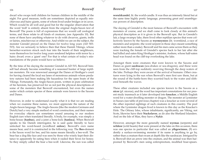dwarf who swaps troll children for human children in the middle of the night. For good measure, trolls are sometimes depicted as equally mischievous and hairy giants, some of whom lived under bridges or in caves. Which would be all well and good but for the singular observation that the word 'troll' is entirely absent from the original Anglo-Saxon text of Beowulf! The poem is full of expressions that we would call zoological terms, and these relate to all kinds of creatures, (see Appendix 10). But none of them have anything whatever to do with dwarves, giants, trolls or fairies, mischievous or otherwise. And whilst we are on the subject, the monster Grendel preyed on the Danes for twelve long years (AD 503- 515). Are we seriously to believe then that these Danish Vikings, whose berserker-warriors struck such fear into the hearts of their neighbours, were themselves for twelve long years rendered helpless with terror by a hairy dwarf; even a 'giant' one? For that is what certain of today's mistranslations of the poem would have us believe.

By the time of his slaying the monster Grendel in AD 515, Beowulf himself had already become something of a seasoned hunter of large reptilian monsters. He was renowned amongst the Danes at Hrothgar's court for having cleared the local sea lanes of monstrous animals whose predatory natures had been making life hazardous for the open boats of the Vikings. Fortunately, the Anglo-Saxon poem, written in pure celebration of his heroism, has preserved for us not just the physical descriptions of some of the monsters that Beowulf encountered, but even the names under which certain species of these animals were known to the Saxons and Danes.

However, in order to understand exactly what it is that we are reading when we examine these names, we must appreciate the nature of the Anglo-Saxon language. The Anglo-Saxons (like the modern Germans and Dutch) had a very simple method of word construction, and their names for everyday objects can sometimes sound amusing to our modern English ears when translated literally. A body, for example, was simply a bone-house (**banhus**), and a joint a bone-lock (**banloca**). When Beowulf speaks to his Danish interrogator, he is said quite literally to have unlocked his word-hoard (wordhord **onleoc**). Beowulf's own name means bear, and it is constructed in the following way. The **Beo**-element is the Saxon word for bee, and his name means literally a bee-wolf. The bear has a dog-like face and was seen by those who wisely kept their distance to apparently be eating bees when it raided their hives for honey. So they simply called the bear a bee-wolf. Likewise, the sun was called

#### **Beowulf** 107

**woruldcandel**, lit. the world-candle. It was thus an intensely literal but at the same time highly poetic language, possessing great and unambiguous powers of description.

The slaying of Grendel is the most famous of Beowulf's encounters with monsters of course, and we shall come to look closely at this animal's physical description as it is given in the Beowulf epic. But in Grendel's lair, a large swampy lake, there lived other reptilian species that were collectively known by the Saxons as **wyrmeynnes** (lit. wormkind, a race of monsters and serpents--the word serpent in those days meant something rather more than a snake). Beowulf and his men came across them as they were tracking the female of Grendel's species back to her lair after she had killed and eaten King Hrothgar's minister, Asshere, whose half-eaten head was found on the cliff-top overlooking the lake.

Amongst them were creatures that were known to the Saxons and Danes as giant **saedracan** (sea-drakes or sea-dragons), and these were seen from the cliff-top suddenly swerving through the deep waters of the lake. Perhaps they were aware of the arrival of humans. Other creatures were lying in the sun when Beowulf's men first saw them, but at the sound of the battle-horn they scurried back to the water and slithered beneath the waves.

These other creatures included one species known to the Saxons as a **nicor** (pl. niceras), and the word has important connotations for our present study inasmuch as it later developed into **knucker**, a Middle English word for a water-dwelling monster or dragon. The monster at Lyminster in Sussex (see table of previous chapter) was a knucker as were several of the other reported sightings of such creatures in this country. The pool where the Lyminster dragon lived is known to this day as the Knucker's Hole. The Orkney Isles, whose inhabitants, significantly, are Viking, not Scots, likewise have their **Nuckelavee**, as do also the Shetland Islanders. And on the Isle of Man, they have a **Nykir**.

However, amongst the more generally named **wyrmas** (serpents) and **wildeor** (wild beasts) that were present at the lake on this occasion, there was one species in particular that was called an **ythgewinnes**, (9) evidently a surface-swimming monster if its name is anything to go by, rather than a creature that swam at depth like the saedracan. Intrigued by it, Beowulf shot an arrow into the creature, and the animal was then harpooned by Beowulf's men using eoferspreotum, modified boar-spears.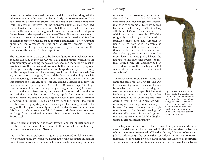Once the monster was dead, Beowulf and his men then dragged the ythgewinnes out of the water and laid its body out for examination. They had, after all, a somewhat professional interest in the animals that they were up against. Moreover, of the monstrous reptiles that they had encountered at the lake, it was said that they were such creatures as would sally out at midmorning time to create havoc amongst the ships in the sea lanes, and one particular success of Beowulf's, as we have already seen, was clearing the narrow sea lanes between Denmark and Sweden of certain monsters which he called **merefixa** and **niceras**. Following that operation, the carcasses of nine such creatures (niceras nigene-- Alexander mistakenly translates nigene as seven) were laid out on the beaches for display and further inspection.

The last monster to be destroyed by Beowulf (and from which encounter Beowulf also died in the year AD 583) was a flying reptile which lived on a promontory overlooking the sea at Hronesness on the southern coast of Sweden. Now, the Saxons (and presumably the Danes) knew flying reptiles in general as **lyftfloga** (air-fliers), but this particular species of flying reptile, the specimen from Hronesness, was known to them as a **widfloga**, lit, a wide (or far-ranging) flyer, and the description that they have left us fits that of a giant **Pteranodon**. Interestingly, the Saxons also described this creature as a **ligdraca**, or fire-dragon, and he is described as fifty feet in length (or perhaps wing-span?) and about 300 years of age. (Great age is a common feature even among today's non-giant reptiles.) Moreover, and of particular interest to us, the name widfloga would have distinguished this particular species of flying reptile from another similar species which was capable of making only short flights. Such a creature is portrayed in Figure 11.1, a shield-boss from the Sutton Hoo burial which shows a flying dragon with its wings folded along its sides. Its long tooth-filled jaws are readily seen, and the shield-boss can be seen to this day in its showcase at the British Museum. Modern paleontologists, working from fossilized remains, have named such a creature Pterodactyl.

But our attention must now be drawn towards another reptilian monster which was surely the most fiercesome of all the animals encountered by Beowulf, the monster called **Grendel**.

It is too often and mistakenly thought that the name Grendel was merely a personal name by which the Danes knew this particular animal. In much the same way as a horse is nicknamed Dobbin, or a dog Fido, this

#### **Beowulf** 109

monster, it is assumed, was called Grendel. But, in fact, Grendel was the name that our forebears gave to a particular species of animal. This is evidenced by the fact that in the year AD 931, King Athelstan of Wessex issued a charter in which a certain lake in Wiltshire (England) is called (as in Denmark) a grendles mere. (10) The Grendel in Beowulf, we note with interest, also lived in a mere. Other place-names mentioned in old charters, Grindles bee and Grendeles pyt, for example, were likewise places that were (or had been) the habitats of this particular species of animal. Grindelwald, lit. Grendelwood, in Switzerland is another such place. But where does the name Grendel itself come from?

There are several Anglo-Saxon words that share the same root as Grendel. The Old English word grindan, for example, and from which we derive our word grind, used to denote a destroyer. But the most likely origin of the name is simply the fact that Grendel is an onomatopoeic term derived from the Old Norse **grindill**, meaning a storm or **grenja**, meaning to bellow. The word Grendel is strongly reminiscent of the deep-throated growl that would be emitted by a very large animal and it came into Middle English usage as grindel, meaning angry.

To the hapless Danes who were the victims of his predatory raids, however, Grendel was not just an animal. To them he was demon-like, one who was **synnum beswenced** (afflicted with sins). He was **godes ansaca** (God's adversary), the **synscatha** (evil-doer) who was **wonsaeli** (damned), a very **feond on helle** (devil in hell)! He was one of the **grundwyrgen**, accursed and murderous monsters who were said by the Danes



Fig. 11.1 The portrayal from a Saxon shield (Sutton Hoo burial site) of a flying reptile at rest. Note the wings folded along its sides as well as the long tooth-filled jaws. Comparaison of this with a modern reconstruction of a Pterodactyl or similar creature is most intstructive.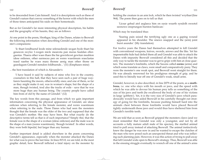$\forall$ 

to be descended from Cain himself. And it is descriptions such as these of Grendel's nature that convey something of the horror with which the men of those times anticipated his raids on their homesteads.

But as for Grendel's far more interesting physical description, his habits and the geography of his haunts, they are as follows:

At one point in the poem, Hrothgar, king of the Danes, relates to Beowulf the following information when describing Grendel and one of the monster's companions:

'Ic thaet londbuend leode mine seleraedende secgan hyde thaet hie gesawon swylce 1-wegen micle mearcsta pan moras healdan ellorgaestas. Thaera other waes thaes the hie gewislicost gewitan meahton idese onlienes, other earmscea pen on weres waeslmum sraeclastas traed naefne he waes mara thonne aenig man other thone on geardagum Grendel nemdon foldbuende...' (11) (Emphases mine)

... the best translation of which is Alexander's:

'I have heard it said by subjects of mine who live in the country, counselors in this hall, that they have seen such a pair of huge wayfarers haunting the moors, otherworldly ones; and one of them, so far as they might make it out, was in woman's shape; but the shape of a man, though twisted, trod also the tracks of exile - save that he was more huge than any human being. The country people have called him from of old by the name of Grendel." (12)

The key words from this passage, and from which we gain important information concerning the physical appearance of Grendel, are idese onlicnes when referring to the female monster, and weres waestmum when referring to the male. Those Danes who had seen the monsters thought that the female was the older of the two and supposed that she was Grendel's mother. She may have been. But what exactly do the descriptive terms tell us that is of such importance? Simply this: that the female was in the shape of a woman (idese onlicnes) and the male was in the shape of a man (weres waestmum), 'though twisted'. In other words, they were both bipedal, but larger than any human.

Further important detail is added elsewhere in the poem concerning Grendel's appearance, especially when the monster attacked the Danes for what was to prove the last time. In lines 815-8, we are told, in the most graphic detail, how Beowulf inflicted a fatal injury on the monster by

#### **Beowulf** 111

holding the creature in an arm lock, which he then twisted 'wrythan'(line 964). The poem then goes on to tell us that:

'Licsar gebad atol aeglaeca him on eaxie wearth syndolh sweotol seonowe onsprungon burston banlocan.'

Which may be translated thus:

'Searing pain seized the terrifying ugly one as a gaping wound appeared in his shoulder. The sinews snapped and the (arm) joint burst asunder.' (My translation)

For twelve years the Danes had themselves attempted to kill Grendel with conventional weapons, knives, swords, arrows and the like. Yet his impenetrable hide had defied them all and Grendel was able to attack the Danes with impunity Beowulf considered all this and decided that the only way to tackle the monster was to get to grips with him at close quarters. The monster's forelimbs, which the Saxons called **eorms** (arms) and which some translate as claws, were small and comparatively puny. They were the monster's one weak spot, and Beowulf went straight for them. He was already renowned for his prodigious strength of grip, and he used this to literally tear off one of Grendel's weak, small arms.

Grendel, however, is also described, in line 2079 of the poem, as a **mutbbona**, i.e. one who slays with his mouth or jaws, and the speed with which he was able to devour his human prey tells us something of the size of his jaws and teeth (he swallowed the body of one of his victims in large 'gobbets'). Yet, it is the very size of Grendel's jaws which paradoxically would have aided Beowulf in his carefully thought out strategy of going for the forelimbs, because pushing himself hard into the animals chest between those forelimbs would have placed Beowulf tightly underneath those jaws and would thus have sheltered him from Grendel's terrible teeth.

We are told that as soon as Beowulf gripped the monsters claws (and we must remember that Grendel was only a youngster, and not by all accounts a fully mature adult male of his species), the startled animal tried to pull away instead of attacking Beowulf. The animal instinctively knew the danger he was now in and he wanted to escape the clutches of the man who now posed such an unexpected threat and who was inflicting such alarming pain. However, it was this action of trying to pull away that left Grendel wide open to Beowulf's strategy. Thus, Beowulf was able in the ensuing struggle eventually to wrench off one of the animal's arms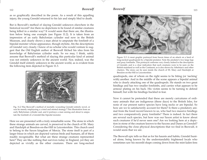as so graphically described in the poem. As a result of this appalling injury, the young Grendel returned to his lair and simply bled to death.

But is Beowulf's method of slaying Grendel unknown elsewhere in the historical record? Are there no depictions to be found of similar creatures being killed in a similar way? It would seem that there are, the illustration below being one example (see Figure 11.2). It is taken from an impression of an early Babylonian cylinder seal now in the British Museum, and clearly shows a man about to amputate the forelimb of a bipedal monster whose appearance, though stylistic, fits the descriptions of Grendel very closely. I know of no scholar who would venture to suggest that the Old English author of Beowulf filched his idea from his knowledge of Babylonian cylinder seals. So we may, I think, safely assume that Beowulf's method of slaying this particular kind of animal was not entirely unknown in the ancient world. Nor, indeed, was the Grendel itself entirely unknown in the ancient world, as is evident from the following item depicted in Figure 11.3.



Fig. 11,2 Was Beowulf's method of mortally wounding Grendel entirely novel, or was he merely employeing a a tried and etested strategy? This illustration from an early Babylonian cylinder seal, and it portrays a man seizing and about to amputate the forelimb of a Grendel-like bipedal monster.

Here we are presented with a truly remarkable scene. The stone in which these strange animals are carved, is preserved in the church of SS. Mary and Hardulph at Breedon-on-the-Hill in Leicestershire. This church used to belong to the Saxon kingdom of Mercia. The stone itself is part of a larger frieze in which are depicted various birds and humans, all of them readily recognisable. But what are these strange creatures represented here? They are like nothing that survives today in England, yet they are depicted as vividly as the other creatures. There are long-necked

#### **Beowulf** 113



Figure 11.3 A most graphic portrayal from Saxon times of an attack on a herd of long-necked quadrupeds by a bipedal predator. Note the predator's two large legs and puay forelimbs. This portrayal conforms very closely indeed to the description of Grendel, and is a clear indication that such creatures were to be seen on the British mainland as well as the Continent, as is also shown by Athelstan's and other charters. The stone can be seen inside the church of SS. Mary and Hardulph at Breedon-on-the-Hill in Leicestershire.

quadrupeds, one of whom on the right seems to be biting (or 'necking' with) another. And in the middle of the scene appears a bipedal animal who is clearly attacking one of the quadrupeds. He stands on two great hindlegs and has two smaller forelimbs, and carries what appears to be armour plating on his back. His victim seems to be turning to defend himself; but with his hindlegs buckled in fear.

Now it cannot be pretended that these are merely caricatures of ordinary animals that are indigenous (these days) to the British Isles, for none of our present native species have long necks or are bipedal. So how are we to satisfactorily account for them? Is there a predatory animal from the fossil record known to us, who had two massive hindlegs and two comparatively puny forelimbs? There is indeed. In fact there are several such species, but how was our Saxon artist to know about such creatures if he'd never seen one? Are we looking here at a depiction in stone of the creature known to the Saxons and Danes as Grendel? Considering the close physical descriptions that we find in Beowulf, it would seem that we are.

The Beowulf epic tells us that as for his haunts and habits, Grendel hunted alone, being known by the understandably frightened locals who sometimes saw his moonlit shape coming down from the mist-laden fens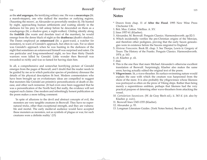as the **atol angengea**, the terrifying solitary one. He was a **mearcstapa** (lit. a marsh-stepper), one who stalked the marshes or outlying regions, ('haunting the moors', as Alexander so powerfully renders it). He hunted by night, approaching human settlements and waiting silently in the darkness for his prey to fall asleep before he descended on them as a sceadugenga (lit, a shadow-goer, a night-walker). Gliding silently along the **fenhlith** (the waste and desolate tract of the marshes), he would emerge from the dense black of night as the **deathscua** (death's shadow). The Danes employed an **eotanweard** (lit. a giant-ward, a watcher for monsters), to warn of Grendel's approach, but often in vain. For so silent was Grendel's approach when he was hunting in the darkness of the night that sometimes an eotanweard himself was surprised and eaten. On one particular and long-remembered night, no less than thirty Danish warriors were killed by Grendel. Little wonder then Beowulf was rewarded so richly and was so famed for having slain him.

In all, a comprehensive and somewhat horrifying picture of Grendel emerges from the pages of Beowulf, and I doubt that the reader needs to be guided by me as to which particular species of predatory dinosaur the details of his physical description fit best. Modern commentators who have been brought up on evolutionary ideas are compelled to suggest that monsters like Grendel are primitive personifications of death or disease, and other such nonsense. (It had even once been suggested that he was a personification of the North Sea!) But really, the evidence will not support such claims. One modern and refreshingly honest publication on the poem makes a more telling comment:

'In spite of allusions to the devil and abstract concepts of evil, the monsters are very tangible creatures in Beowulf. They have no supernatural tricks, other than exceptional strength, and they are vulnerable and mortal. The early medieval audience would have accepted these monsters as monsters, not as symbols of plague or war, for such creatures were a definite reality.' (13)

#### **Beowulf** 115

# **Notes**

- \* Drawn from chap. 11 of **After the Flood**. 1995 New Wine Press Chichester UK.
- 1. Brit. Mus. Cotton. Vitellius. A. XV.
- 2. lines 1957-61 (Klaeber).
- 3. Alexander, M. Beowulf. Penguin Classics. Harmondsworth. pp.ll2-3.
- 4. Which incidentally verifies the pre-Christian origins of the Mercian, and therefore other pedigrees, proving that the early Saxon genealogies were in existence before the Saxons migrated to England.
- 5. *Historae Franconim*. Book III. chap. 3. See Thorpe, Lewis tr. Gregory of Tours: The History of the Franks. Penguin Classics. Harmondsworth. 1974. p. 163.
- 6. cit. Klaeber. p. xli.
- 7. ibid.
- 8. This is the one flaw that mars Michael Alexander's otherwise excellent translation of Beowulf. Surprisingly, Klaeber also makes the same error, having actually edited the original text of the poem.
- 9. **Ythgewinnes**. lit, a wave-thrasher. Its surface-swimming nature would explain the ease with which the creature was harpooned from the shore of the mere. It is also probably the ythgewinnes whose likeness was portrayed so often on the prow of Viking ships. Rather than being merely a superstitious emblem, perhaps that likeness had the very practical purpose of deterring other wave-thrashers from attacking the vessel.
- 10. *Cartularium Saxonicum*. (W. de Gray Birch ed.). ii. 363 if. (cit. also by Klaeber. p. xxiv).
- 11. Beowulf lines 1345-1355 (Klaeber).
- 12. Alexander. p. 93.

 $\forall$ 

13. Longman Literature Guides. (York Notes Series). Beowulf. p. 65.